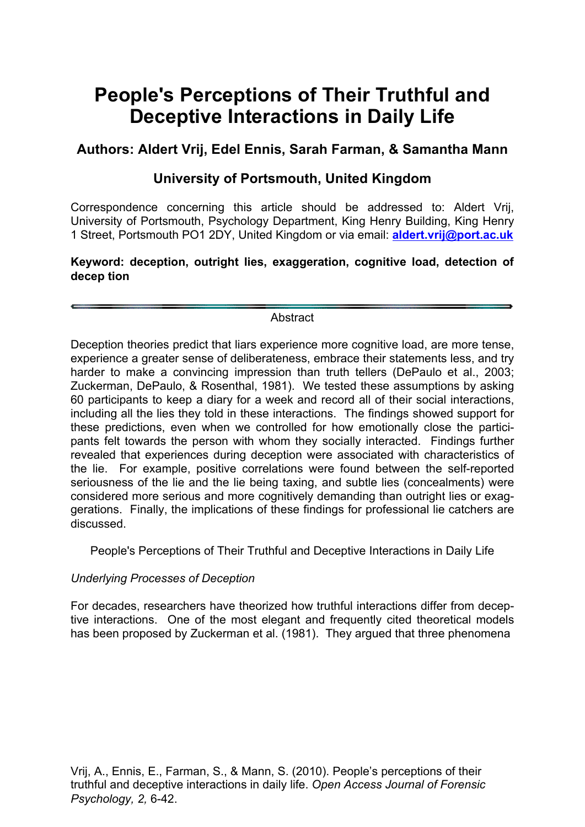# **People's Perceptions of Their Truthful and Deceptive Interactions in Daily Life**

# **Authors: Aldert Vrij, Edel Ennis, Sarah Farman, & Samantha Mann**

# **University of Portsmouth, United Kingdom**

Correspondence concerning this article should be addressed to: Aldert Vrij, University of Portsmouth, Psychology Department, King Henry Building, King Henry 1 Street, Portsmouth PO1 2DY, United Kingdom or via email: **aldert.vrij@port.ac.uk**

# **Keyword: deception, outright lies, exaggeration, cognitive load, detection of decep tion**

# Abstract

Deception theories predict that liars experience more cognitive load, are more tense, experience a greater sense of deliberateness, embrace their statements less, and try harder to make a convincing impression than truth tellers (DePaulo et al., 2003; Zuckerman, DePaulo, & Rosenthal, 1981). We tested these assumptions by asking 60 participants to keep a diary for a week and record all of their social interactions, including all the lies they told in these interactions. The findings showed support for these predictions, even when we controlled for how emotionally close the participants felt towards the person with whom they socially interacted. Findings further revealed that experiences during deception were associated with characteristics of the lie. For example, positive correlations were found between the self-reported seriousness of the lie and the lie being taxing, and subtle lies (concealments) were considered more serious and more cognitively demanding than outright lies or exaggerations. Finally, the implications of these findings for professional lie catchers are discussed.

People's Perceptions of Their Truthful and Deceptive Interactions in Daily Life

# *Underlying Processes of Deception*

For decades, researchers have theorized how truthful interactions differ from deceptive interactions. One of the most elegant and frequently cited theoretical models has been proposed by Zuckerman et al. (1981). They argued that three phenomena

Vrij, A., Ennis, E., Farman, S., & Mann, S. (2010). People's perceptions of their truthful and deceptive interactions in daily life. *Open Access Journal of Forensic Psychology, 2,* 6-42.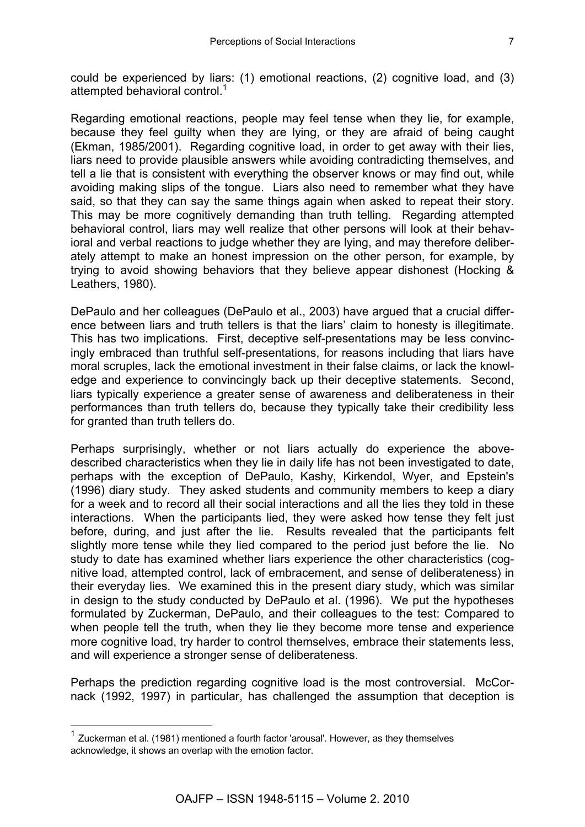could be experienced by liars: (1) emotional reactions, (2) cognitive load, and (3) attempted behavioral control.<sup>1</sup>

Regarding emotional reactions, people may feel tense when they lie, for example, because they feel guilty when they are lying, or they are afraid of being caught (Ekman, 1985/2001). Regarding cognitive load, in order to get away with their lies, liars need to provide plausible answers while avoiding contradicting themselves, and tell a lie that is consistent with everything the observer knows or may find out, while avoiding making slips of the tongue. Liars also need to remember what they have said, so that they can say the same things again when asked to repeat their story. This may be more cognitively demanding than truth telling. Regarding attempted behavioral control, liars may well realize that other persons will look at their behavioral and verbal reactions to judge whether they are lying, and may therefore deliberately attempt to make an honest impression on the other person, for example, by trying to avoid showing behaviors that they believe appear dishonest (Hocking & Leathers, 1980).

DePaulo and her colleagues (DePaulo et al., 2003) have argued that a crucial difference between liars and truth tellers is that the liars' claim to honesty is illegitimate. This has two implications. First, deceptive self-presentations may be less convincingly embraced than truthful self-presentations, for reasons including that liars have moral scruples, lack the emotional investment in their false claims, or lack the knowledge and experience to convincingly back up their deceptive statements. Second, liars typically experience a greater sense of awareness and deliberateness in their performances than truth tellers do, because they typically take their credibility less for granted than truth tellers do.

Perhaps surprisingly, whether or not liars actually do experience the abovedescribed characteristics when they lie in daily life has not been investigated to date, perhaps with the exception of DePaulo, Kashy, Kirkendol, Wyer, and Epstein's (1996) diary study. They asked students and community members to keep a diary for a week and to record all their social interactions and all the lies they told in these interactions. When the participants lied, they were asked how tense they felt just before, during, and just after the lie. Results revealed that the participants felt slightly more tense while they lied compared to the period just before the lie. No study to date has examined whether liars experience the other characteristics (cognitive load, attempted control, lack of embracement, and sense of deliberateness) in their everyday lies. We examined this in the present diary study, which was similar in design to the study conducted by DePaulo et al. (1996). We put the hypotheses formulated by Zuckerman, DePaulo, and their colleagues to the test: Compared to when people tell the truth, when they lie they become more tense and experience more cognitive load, try harder to control themselves, embrace their statements less, and will experience a stronger sense of deliberateness.

Perhaps the prediction regarding cognitive load is the most controversial. McCornack (1992, 1997) in particular, has challenged the assumption that deception is

 $1$  Zuckerman et al. (1981) mentioned a fourth factor 'arousal'. However, as they themselves acknowledge, it shows an overlap with the emotion factor.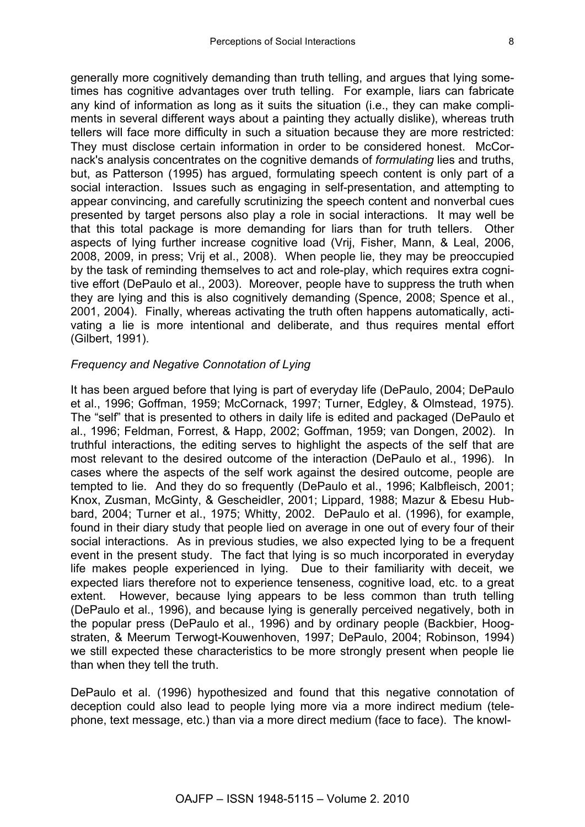8

generally more cognitively demanding than truth telling, and argues that lying sometimes has cognitive advantages over truth telling. For example, liars can fabricate any kind of information as long as it suits the situation (i.e., they can make compliments in several different ways about a painting they actually dislike), whereas truth tellers will face more difficulty in such a situation because they are more restricted: They must disclose certain information in order to be considered honest. McCornack's analysis concentrates on the cognitive demands of *formulating* lies and truths, but, as Patterson (1995) has argued, formulating speech content is only part of a social interaction. Issues such as engaging in self-presentation, and attempting to appear convincing, and carefully scrutinizing the speech content and nonverbal cues presented by target persons also play a role in social interactions. It may well be that this total package is more demanding for liars than for truth tellers. Other aspects of lying further increase cognitive load (Vrij, Fisher, Mann, & Leal, 2006, 2008, 2009, in press; Vrij et al., 2008). When people lie, they may be preoccupied by the task of reminding themselves to act and role-play, which requires extra cognitive effort (DePaulo et al., 2003). Moreover, people have to suppress the truth when they are lying and this is also cognitively demanding (Spence, 2008; Spence et al., 2001, 2004). Finally, whereas activating the truth often happens automatically, activating a lie is more intentional and deliberate, and thus requires mental effort (Gilbert, 1991).

# *Frequency and Negative Connotation of Lying*

It has been argued before that lying is part of everyday life (DePaulo, 2004; DePaulo et al., 1996; Goffman, 1959; McCornack, 1997; Turner, Edgley, & Olmstead, 1975). The "self" that is presented to others in daily life is edited and packaged (DePaulo et al., 1996; Feldman, Forrest, & Happ, 2002; Goffman, 1959; van Dongen, 2002). In truthful interactions, the editing serves to highlight the aspects of the self that are most relevant to the desired outcome of the interaction (DePaulo et al., 1996). In cases where the aspects of the self work against the desired outcome, people are tempted to lie. And they do so frequently (DePaulo et al., 1996; Kalbfleisch, 2001; Knox, Zusman, McGinty, & Gescheidler, 2001; Lippard, 1988; Mazur & Ebesu Hubbard, 2004; Turner et al., 1975; Whitty, 2002. DePaulo et al. (1996), for example, found in their diary study that people lied on average in one out of every four of their social interactions. As in previous studies, we also expected lying to be a frequent event in the present study. The fact that lying is so much incorporated in everyday life makes people experienced in lying. Due to their familiarity with deceit, we expected liars therefore not to experience tenseness, cognitive load, etc. to a great extent. However, because lying appears to be less common than truth telling (DePaulo et al., 1996), and because lying is generally perceived negatively, both in the popular press (DePaulo et al., 1996) and by ordinary people (Backbier, Hoogstraten, & Meerum Terwogt-Kouwenhoven, 1997; DePaulo, 2004; Robinson, 1994) we still expected these characteristics to be more strongly present when people lie than when they tell the truth.

DePaulo et al. (1996) hypothesized and found that this negative connotation of deception could also lead to people lying more via a more indirect medium (telephone, text message, etc.) than via a more direct medium (face to face). The knowl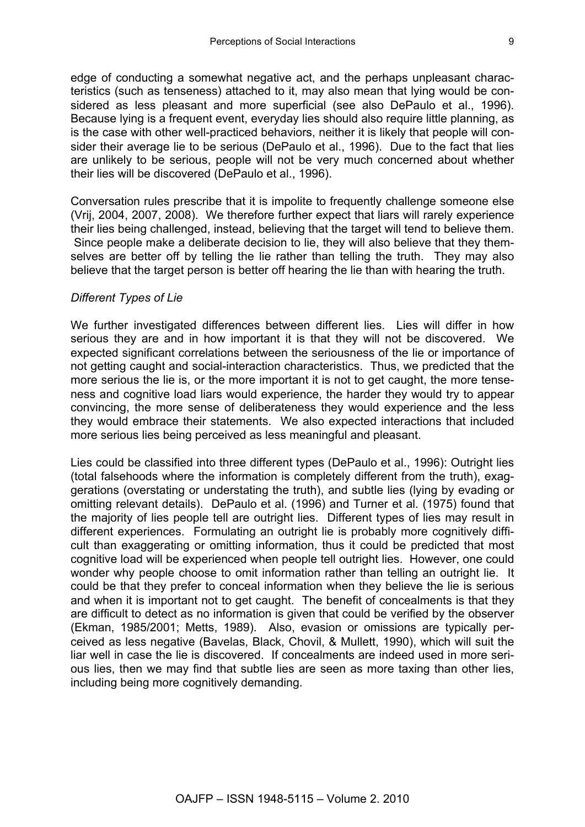edge of conducting a somewhat negative act, and the perhaps unpleasant characteristics (such as tenseness) attached to it, may also mean that lying would be considered as less pleasant and more superficial (see also DePaulo et al., 1996). Because lying is a frequent event, everyday lies should also require little planning, as is the case with other well-practiced behaviors, neither it is likely that people will consider their average lie to be serious (DePaulo et al., 1996). Due to the fact that lies are unlikely to be serious, people will not be very much concerned about whether their lies will be discovered (DePaulo et al., 1996).

Conversation rules prescribe that it is impolite to frequently challenge someone else (Vrij, 2004, 2007, 2008). We therefore further expect that liars will rarely experience their lies being challenged, instead, believing that the target will tend to believe them. Since people make a deliberate decision to lie, they will also believe that they themselves are better off by telling the lie rather than telling the truth. They may also believe that the target person is better off hearing the lie than with hearing the truth.

# *Different Types of Lie*

We further investigated differences between different lies. Lies will differ in how serious they are and in how important it is that they will not be discovered. We expected significant correlations between the seriousness of the lie or importance of not getting caught and social-interaction characteristics. Thus, we predicted that the more serious the lie is, or the more important it is not to get caught, the more tenseness and cognitive load liars would experience, the harder they would try to appear convincing, the more sense of deliberateness they would experience and the less they would embrace their statements. We also expected interactions that included more serious lies being perceived as less meaningful and pleasant.

Lies could be classified into three different types (DePaulo et al., 1996): Outright lies (total falsehoods where the information is completely different from the truth), exaggerations (overstating or understating the truth), and subtle lies (lying by evading or omitting relevant details). DePaulo et al. (1996) and Turner et al. (1975) found that the majority of lies people tell are outright lies. Different types of lies may result in different experiences. Formulating an outright lie is probably more cognitively difficult than exaggerating or omitting information, thus it could be predicted that most cognitive load will be experienced when people tell outright lies. However, one could wonder why people choose to omit information rather than telling an outright lie. It could be that they prefer to conceal information when they believe the lie is serious and when it is important not to get caught. The benefit of concealments is that they are difficult to detect as no information is given that could be verified by the observer (Ekman, 1985/2001; Metts, 1989). Also, evasion or omissions are typically perceived as less negative (Bavelas, Black, Chovil, & Mullett, 1990), which will suit the liar well in case the lie is discovered. If concealments are indeed used in more serious lies, then we may find that subtle lies are seen as more taxing than other lies, including being more cognitively demanding.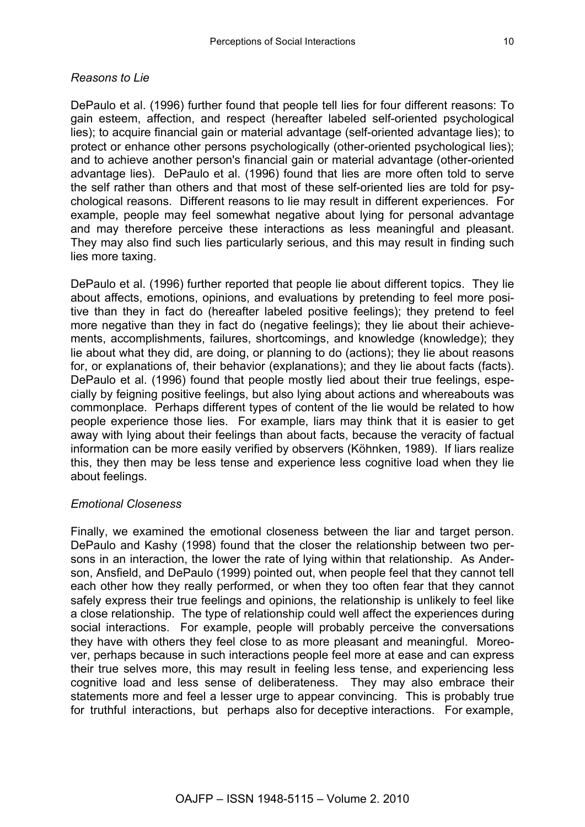# *Reasons to Lie*

DePaulo et al. (1996) further found that people tell lies for four different reasons: To gain esteem, affection, and respect (hereafter labeled self-oriented psychological lies); to acquire financial gain or material advantage (self-oriented advantage lies); to protect or enhance other persons psychologically (other-oriented psychological lies); and to achieve another person's financial gain or material advantage (other-oriented advantage lies). DePaulo et al. (1996) found that lies are more often told to serve the self rather than others and that most of these self-oriented lies are told for psychological reasons. Different reasons to lie may result in different experiences. For example, people may feel somewhat negative about lying for personal advantage and may therefore perceive these interactions as less meaningful and pleasant. They may also find such lies particularly serious, and this may result in finding such lies more taxing.

DePaulo et al. (1996) further reported that people lie about different topics. They lie about affects, emotions, opinions, and evaluations by pretending to feel more positive than they in fact do (hereafter labeled positive feelings); they pretend to feel more negative than they in fact do (negative feelings); they lie about their achievements, accomplishments, failures, shortcomings, and knowledge (knowledge); they lie about what they did, are doing, or planning to do (actions); they lie about reasons for, or explanations of, their behavior (explanations); and they lie about facts (facts). DePaulo et al. (1996) found that people mostly lied about their true feelings, especially by feigning positive feelings, but also lying about actions and whereabouts was commonplace. Perhaps different types of content of the lie would be related to how people experience those lies. For example, liars may think that it is easier to get away with lying about their feelings than about facts, because the veracity of factual information can be more easily verified by observers (Köhnken, 1989). If liars realize this, they then may be less tense and experience less cognitive load when they lie about feelings.

### *Emotional Closeness*

Finally, we examined the emotional closeness between the liar and target person. DePaulo and Kashy (1998) found that the closer the relationship between two persons in an interaction, the lower the rate of lying within that relationship. As Anderson, Ansfield, and DePaulo (1999) pointed out, when people feel that they cannot tell each other how they really performed, or when they too often fear that they cannot safely express their true feelings and opinions, the relationship is unlikely to feel like a close relationship. The type of relationship could well affect the experiences during social interactions. For example, people will probably perceive the conversations they have with others they feel close to as more pleasant and meaningful. Moreover, perhaps because in such interactions people feel more at ease and can express their true selves more, this may result in feeling less tense, and experiencing less cognitive load and less sense of deliberateness. They may also embrace their statements more and feel a lesser urge to appear convincing. This is probably true for truthful interactions, but perhaps also for deceptive interactions. For example,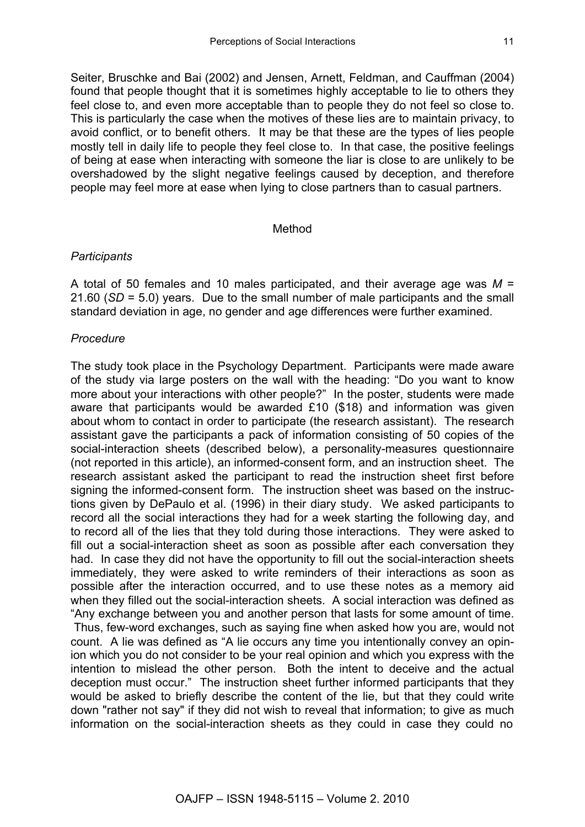Seiter, Bruschke and Bai (2002) and Jensen, Arnett, Feldman, and Cauffman (2004) found that people thought that it is sometimes highly acceptable to lie to others they feel close to, and even more acceptable than to people they do not feel so close to. This is particularly the case when the motives of these lies are to maintain privacy, to avoid conflict, or to benefit others. It may be that these are the types of lies people mostly tell in daily life to people they feel close to. In that case, the positive feelings of being at ease when interacting with someone the liar is close to are unlikely to be overshadowed by the slight negative feelings caused by deception, and therefore people may feel more at ease when lying to close partners than to casual partners.

### Method

### *Participants*

A total of 50 females and 10 males participated, and their average age was *M* = 21.60 (*SD* = 5.0) years. Due to the small number of male participants and the small standard deviation in age, no gender and age differences were further examined.

# *Procedure*

The study took place in the Psychology Department. Participants were made aware of the study via large posters on the wall with the heading: "Do you want to know more about your interactions with other people?" In the poster, students were made aware that participants would be awarded £10 (\$18) and information was given about whom to contact in order to participate (the research assistant). The research assistant gave the participants a pack of information consisting of 50 copies of the social-interaction sheets (described below), a personality-measures questionnaire (not reported in this article), an informed-consent form, and an instruction sheet. The research assistant asked the participant to read the instruction sheet first before signing the informed-consent form. The instruction sheet was based on the instructions given by DePaulo et al. (1996) in their diary study. We asked participants to record all the social interactions they had for a week starting the following day, and to record all of the lies that they told during those interactions. They were asked to fill out a social-interaction sheet as soon as possible after each conversation they had. In case they did not have the opportunity to fill out the social-interaction sheets immediately, they were asked to write reminders of their interactions as soon as possible after the interaction occurred, and to use these notes as a memory aid when they filled out the social-interaction sheets. A social interaction was defined as "Any exchange between you and another person that lasts for some amount of time. Thus, few-word exchanges, such as saying fine when asked how you are, would not count. A lie was defined as "A lie occurs any time you intentionally convey an opinion which you do not consider to be your real opinion and which you express with the intention to mislead the other person. Both the intent to deceive and the actual deception must occur." The instruction sheet further informed participants that they would be asked to briefly describe the content of the lie, but that they could write down "rather not say" if they did not wish to reveal that information; to give as much information on the social-interaction sheets as they could in case they could no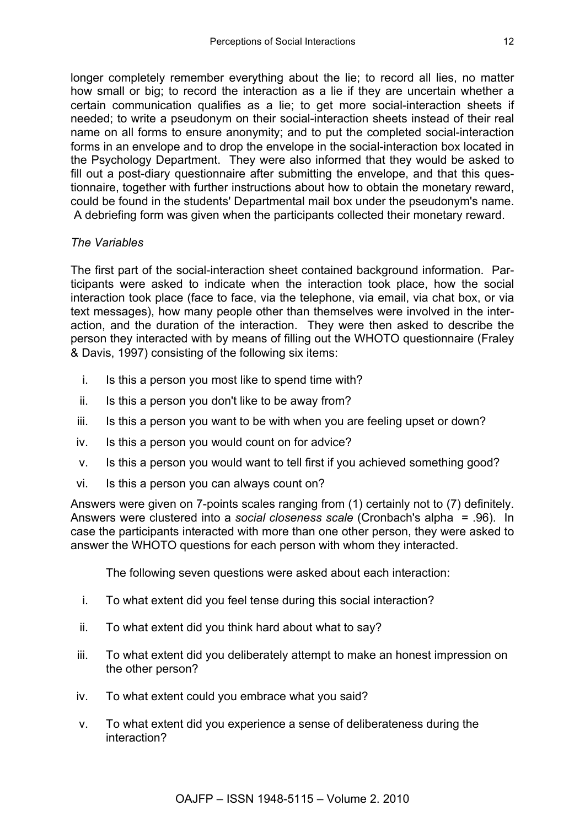longer completely remember everything about the lie; to record all lies, no matter how small or big; to record the interaction as a lie if they are uncertain whether a certain communication qualifies as a lie; to get more social-interaction sheets if needed; to write a pseudonym on their social-interaction sheets instead of their real name on all forms to ensure anonymity; and to put the completed social-interaction forms in an envelope and to drop the envelope in the social-interaction box located in the Psychology Department. They were also informed that they would be asked to fill out a post-diary questionnaire after submitting the envelope, and that this questionnaire, together with further instructions about how to obtain the monetary reward, could be found in the students' Departmental mail box under the pseudonym's name. A debriefing form was given when the participants collected their monetary reward.

# *The Variables*

The first part of the social-interaction sheet contained background information. Participants were asked to indicate when the interaction took place, how the social interaction took place (face to face, via the telephone, via email, via chat box, or via text messages), how many people other than themselves were involved in the interaction, and the duration of the interaction. They were then asked to describe the person they interacted with by means of filling out the WHOTO questionnaire (Fraley & Davis, 1997) consisting of the following six items:

- i. Is this a person you most like to spend time with?
- ii. Is this a person you don't like to be away from?
- iii. Is this a person you want to be with when you are feeling upset or down?
- iv. Is this a person you would count on for advice?
- v. Is this a person you would want to tell first if you achieved something good?
- vi. Is this a person you can always count on?

Answers were given on 7-points scales ranging from (1) certainly not to (7) definitely. Answers were clustered into a *social closeness scale* (Cronbach's alpha = .96). In case the participants interacted with more than one other person, they were asked to answer the WHOTO questions for each person with whom they interacted.

The following seven questions were asked about each interaction:

- i. To what extent did you feel tense during this social interaction?
- ii. To what extent did you think hard about what to say?
- iii. To what extent did you deliberately attempt to make an honest impression on the other person?
- iv. To what extent could you embrace what you said?
- v. To what extent did you experience a sense of deliberateness during the interaction?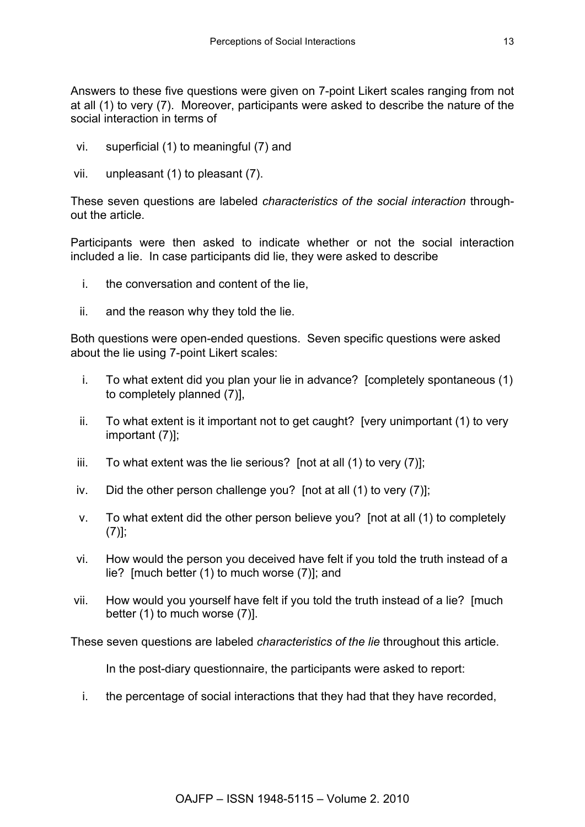Answers to these five questions were given on 7-point Likert scales ranging from not at all (1) to very (7). Moreover, participants were asked to describe the nature of the social interaction in terms of

- vi. superficial (1) to meaningful (7) and
- vii. unpleasant (1) to pleasant (7).

These seven questions are labeled *characteristics of the social interaction* throughout the article.

Participants were then asked to indicate whether or not the social interaction included a lie. In case participants did lie, they were asked to describe

- i. the conversation and content of the lie,
- ii. and the reason why they told the lie.

Both questions were open-ended questions. Seven specific questions were asked about the lie using 7-point Likert scales:

- i. To what extent did you plan your lie in advance? [completely spontaneous (1) to completely planned (7)],
- ii. To what extent is it important not to get caught? [very unimportant (1) to very important (7)];
- iii. To what extent was the lie serious? [not at all  $(1)$  to very  $(7)$ ];
- iv. Did the other person challenge you? [not at all (1) to very (7)];
- v. To what extent did the other person believe you? [not at all (1) to completely  $(7)$ ];
- vi. How would the person you deceived have felt if you told the truth instead of a lie? [much better (1) to much worse (7)]; and
- vii. How would you yourself have felt if you told the truth instead of a lie? [much better (1) to much worse (7)].

These seven questions are labeled *characteristics of the lie* throughout this article.

In the post-diary questionnaire, the participants were asked to report:

i. the percentage of social interactions that they had that they have recorded,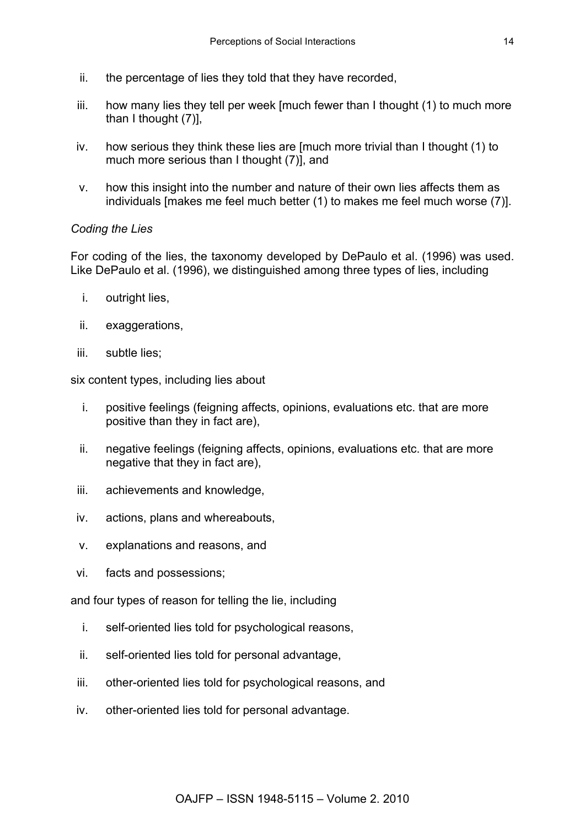- ii. the percentage of lies they told that they have recorded,
- iii. how many lies they tell per week [much fewer than I thought (1) to much more than I thought (7)],
- iv. how serious they think these lies are [much more trivial than I thought (1) to much more serious than I thought (7)], and
- v. how this insight into the number and nature of their own lies affects them as individuals [makes me feel much better (1) to makes me feel much worse (7)].

# *Coding the Lies*

For coding of the lies, the taxonomy developed by DePaulo et al. (1996) was used. Like DePaulo et al. (1996), we distinguished among three types of lies, including

- i. outright lies,
- ii. exaggerations,
- iii. subtle lies;

six content types, including lies about

- i. positive feelings (feigning affects, opinions, evaluations etc. that are more positive than they in fact are),
- ii. negative feelings (feigning affects, opinions, evaluations etc. that are more negative that they in fact are),
- iii. achievements and knowledge,
- iv. actions, plans and whereabouts,
- v. explanations and reasons, and
- vi. facts and possessions;

and four types of reason for telling the lie, including

- i. self-oriented lies told for psychological reasons,
- ii. self-oriented lies told for personal advantage,
- iii. other-oriented lies told for psychological reasons, and
- iv. other-oriented lies told for personal advantage.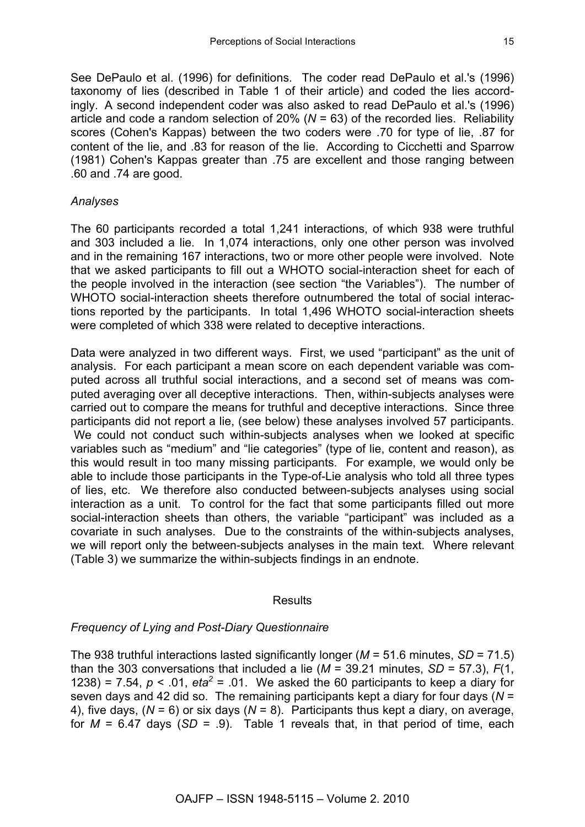See DePaulo et al. (1996) for definitions. The coder read DePaulo et al.'s (1996) taxonomy of lies (described in Table 1 of their article) and coded the lies accordingly. A second independent coder was also asked to read DePaulo et al.'s (1996) article and code a random selection of 20% (*N* = 63) of the recorded lies. Reliability scores (Cohen's Kappas) between the two coders were .70 for type of lie, .87 for content of the lie, and .83 for reason of the lie. According to Cicchetti and Sparrow (1981) Cohen's Kappas greater than .75 are excellent and those ranging between .60 and .74 are good.

# *Analyses*

The 60 participants recorded a total 1,241 interactions, of which 938 were truthful and 303 included a lie. In 1,074 interactions, only one other person was involved and in the remaining 167 interactions, two or more other people were involved. Note that we asked participants to fill out a WHOTO social-interaction sheet for each of the people involved in the interaction (see section "the Variables"). The number of WHOTO social-interaction sheets therefore outnumbered the total of social interactions reported by the participants. In total 1,496 WHOTO social-interaction sheets were completed of which 338 were related to deceptive interactions.

Data were analyzed in two different ways. First, we used "participant" as the unit of analysis. For each participant a mean score on each dependent variable was computed across all truthful social interactions, and a second set of means was computed averaging over all deceptive interactions. Then, within-subjects analyses were carried out to compare the means for truthful and deceptive interactions. Since three participants did not report a lie, (see below) these analyses involved 57 participants. We could not conduct such within-subjects analyses when we looked at specific variables such as "medium" and "lie categories" (type of lie, content and reason), as this would result in too many missing participants. For example, we would only be able to include those participants in the Type-of-Lie analysis who told all three types of lies, etc. We therefore also conducted between-subjects analyses using social interaction as a unit. To control for the fact that some participants filled out more social-interaction sheets than others, the variable "participant" was included as a covariate in such analyses. Due to the constraints of the within-subjects analyses, we will report only the between-subjects analyses in the main text. Where relevant (Table 3) we summarize the within-subjects findings in an endnote.

### **Results**

# *Frequency of Lying and Post-Diary Questionnaire*

The 938 truthful interactions lasted significantly longer (*M* = 51.6 minutes, *SD* = 71.5) than the 303 conversations that included a lie  $(M = 39.21$  minutes,  $SD = 57.3$ ),  $F(1, 1)$ 1238) = 7.54,  $p < 0.01$ , *eta*<sup>2</sup> = .01. We asked the 60 participants to keep a diary for seven days and 42 did so. The remaining participants kept a diary for four days (*N* = 4), five days, (*N* = 6) or six days (*N* = 8). Participants thus kept a diary, on average, for  $M = 6.47$  days  $(SD = .9)$ . Table 1 reveals that, in that period of time, each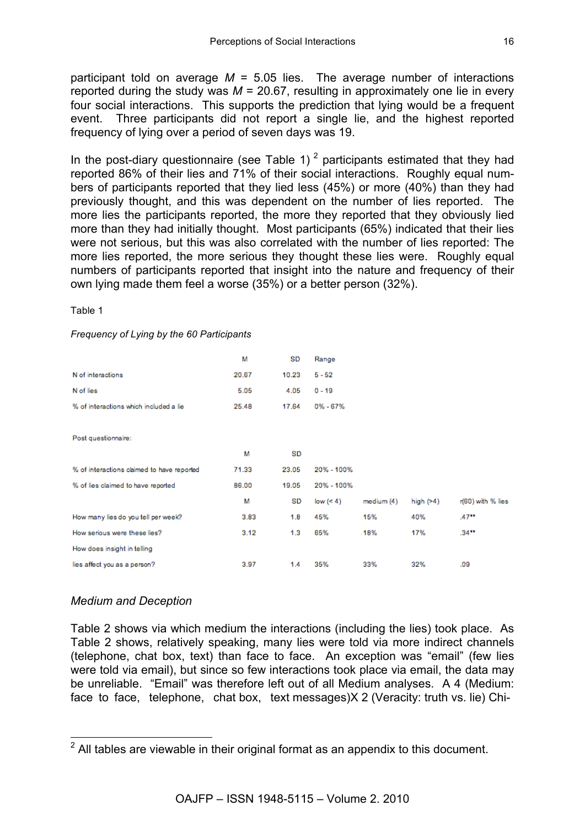participant told on average *M* = 5.05 lies. The average number of interactions reported during the study was  $M = 20.67$ , resulting in approximately one lie in every four social interactions. This supports the prediction that lying would be a frequent event. Three participants did not report a single lie, and the highest reported frequency of lying over a period of seven days was 19.

In the post-diary questionnaire (see Table 1)<sup>2</sup> participants estimated that they had reported 86% of their lies and 71% of their social interactions. Roughly equal numbers of participants reported that they lied less (45%) or more (40%) than they had previously thought, and this was dependent on the number of lies reported. The more lies the participants reported, the more they reported that they obviously lied more than they had initially thought. Most participants (65%) indicated that their lies were not serious, but this was also correlated with the number of lies reported: The more lies reported, the more serious they thought these lies were. Roughly equal numbers of participants reported that insight into the nature and frequency of their own lying made them feel a worse (35%) or a better person (32%).

Table 1

|                                            | М     | SD    | Range       |            |             |                   |
|--------------------------------------------|-------|-------|-------------|------------|-------------|-------------------|
| N of interactions                          | 20.67 | 10.23 | $5 - 52$    |            |             |                   |
| N of lies                                  | 5.05  | 4.05  | $0 - 19$    |            |             |                   |
| % of interactions which included a lie     | 25.48 | 17.64 | 0% - 67%    |            |             |                   |
|                                            |       |       |             |            |             |                   |
| Post questionnaire:                        |       |       |             |            |             |                   |
|                                            | м     | SD    |             |            |             |                   |
| % of interactions claimed to have reported | 71.33 | 23.05 | 20% - 100%  |            |             |                   |
| % of lies claimed to have reported         | 86.00 | 19.05 | 20% - 100%  |            |             |                   |
|                                            | м     | SD    | low $(< 4)$ | medium (4) | high $(24)$ | r(60) with % lies |
| How many lies do you tell per week?        | 3.83  | 1.8   | 45%         | 15%        | 40%         | .47               |
| How serious were these lies?               | 3.12  | 1.3   | 65%         | 18%        | 17%         | $.34**$           |
| How does insight in telling                |       |       |             |            |             |                   |
| lies affect you as a person?               | 3.97  | 1.4   | 35%         | 33%        | 32%         | .09               |

#### *Frequency of Lying by the 60 Participants*

# *Medium and Deception*

Table 2 shows via which medium the interactions (including the lies) took place. As Table 2 shows, relatively speaking, many lies were told via more indirect channels (telephone, chat box, text) than face to face. An exception was "email" (few lies were told via email), but since so few interactions took place via email, the data may be unreliable. "Email" was therefore left out of all Medium analyses. A 4 (Medium: face to face, telephone, chat box, text messages)X 2 (Veracity: truth vs. lie) Chi-

 $2$  All tables are viewable in their original format as an appendix to this document.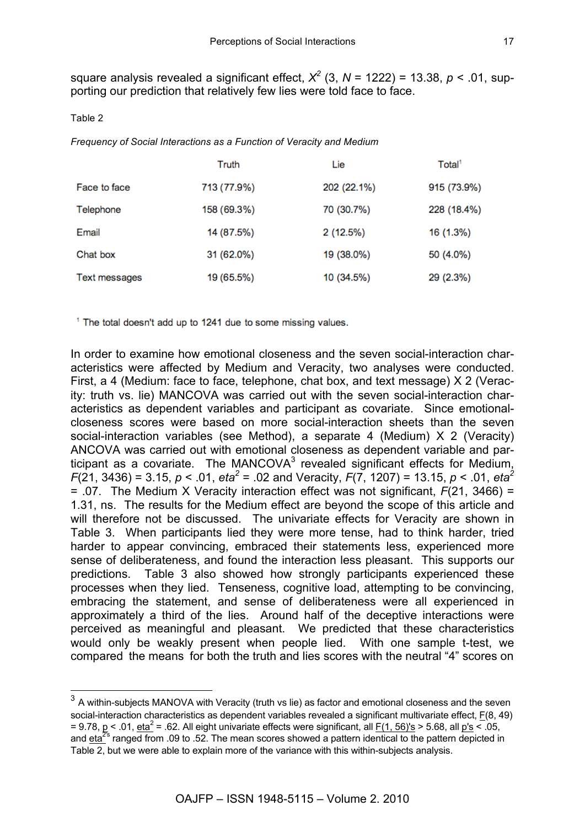square analysis revealed a significant effect,  $X^2$  (3, N = 1222) = 13.38,  $p < .01$ , supporting our prediction that relatively few lies were told face to face.

#### Table 2

*Frequency of Social Interactions as a Function of Veracity and Medium*

|               | Truth       | Lie         | Total <sup>1</sup> |
|---------------|-------------|-------------|--------------------|
| Face to face  | 713 (77.9%) | 202 (22.1%) | 915 (73.9%)        |
| Telephone     | 158 (69.3%) | 70 (30.7%)  | 228 (18.4%)        |
| Email         | 14 (87.5%)  | 2 (12.5%)   | 16 (1.3%)          |
| Chat box      | 31 (62.0%)  | 19 (38.0%)  | 50 (4.0%)          |
| Text messages | 19 (65.5%)  | 10 (34.5%)  | 29 (2.3%)          |

<sup>1</sup> The total doesn't add up to 1241 due to some missing values.

In order to examine how emotional closeness and the seven social-interaction characteristics were affected by Medium and Veracity, two analyses were conducted. First, a 4 (Medium: face to face, telephone, chat box, and text message) X 2 (Veracity: truth vs. lie) MANCOVA was carried out with the seven social-interaction characteristics as dependent variables and participant as covariate. Since emotionalcloseness scores were based on more social-interaction sheets than the seven social-interaction variables (see Method), a separate 4 (Medium) X 2 (Veracity) ANCOVA was carried out with emotional closeness as dependent variable and participant as a covariate. The MANCOVA $3$  revealed significant effects for Medium, *F*(21, 3436) = 3.15, *p* < .01, *eta2* = .02 and Veracity, *F*(7, 1207) = 13.15, *p* < .01, *eta2* = .07. The Medium X Veracity interaction effect was not significant, *F*(21, 3466) = 1.31, ns. The results for the Medium effect are beyond the scope of this article and will therefore not be discussed. The univariate effects for Veracity are shown in Table 3. When participants lied they were more tense, had to think harder, tried harder to appear convincing, embraced their statements less, experienced more sense of deliberateness, and found the interaction less pleasant. This supports our predictions. Table 3 also showed how strongly participants experienced these processes when they lied. Tenseness, cognitive load, attempting to be convincing, embracing the statement, and sense of deliberateness were all experienced in approximately a third of the lies. Around half of the deceptive interactions were perceived as meaningful and pleasant. We predicted that these characteristics would only be weakly present when people lied. With one sample t-test, we compared the means for both the truth and lies scores with the neutral "4" scores on

 $3$  A within-subjects MANOVA with Veracity (truth vs lie) as factor and emotional closeness and the seven social-interaction characteristics as dependent variables revealed a significant multivariate effect, F(8, 49) = 9.78, p < .01, eta<sup>2</sup> = .62. All eight univariate effects were significant, all F(1, 56)'s > 5.68, all p's < .05, and  $\frac{1}{2}$  ranged from .09 to .52. The mean scores showed a pattern identical to the pattern depicted in Table 2, but we were able to explain more of the variance with this within-subjects analysis.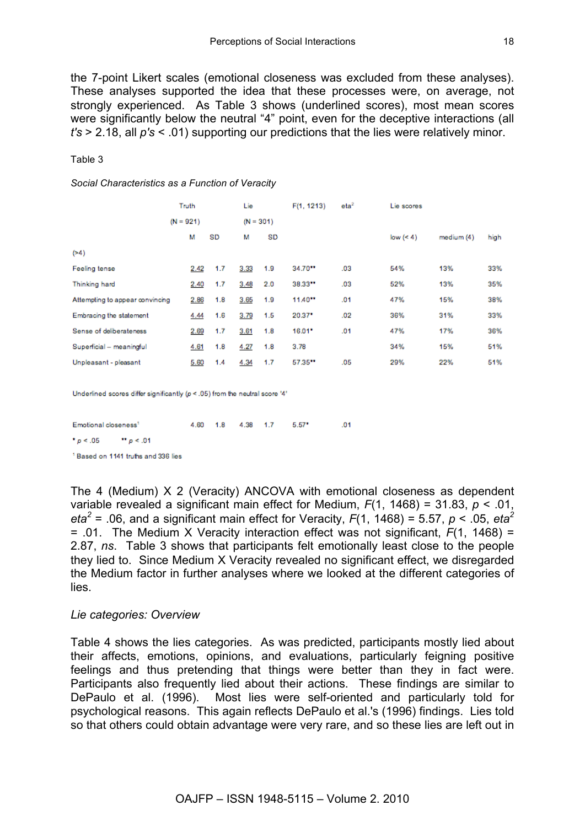the 7-point Likert scales (emotional closeness was excluded from these analyses). These analyses supported the idea that these processes were, on average, not strongly experienced. As Table 3 shows (underlined scores), most mean scores were significantly below the neutral "4" point, even for the deceptive interactions (all *t's* > 2.18, all *p's* < .01) supporting our predictions that the lies were relatively minor.

#### Table 3

*Social Characteristics as a Function of Veracity*

|                                 | Truth       |     |             |     | F(1, 1213) | eta <sup>2</sup> | Lie scores  |            |      |
|---------------------------------|-------------|-----|-------------|-----|------------|------------------|-------------|------------|------|
|                                 | $(N = 921)$ |     | $(N = 301)$ |     |            |                  |             |            |      |
|                                 | м           | SD  | м           | SD  |            |                  | low $(< 4)$ | medium (4) | high |
| (24)                            |             |     |             |     |            |                  |             |            |      |
| Feeling tense                   | 2.42        | 1.7 | 3.33        | 1.9 | $34.70**$  | .03              | 54%         | 13%        | 33%  |
| Thinking hard                   | 2.40        | 1.7 | 3.48        | 2.0 | 38.33      | .03              | 52%         | 13%        | 35%  |
| Attempting to appear convincing | 2.86        | 1.8 | 3.65        | 1.9 | 11.40      | .01              | 47%         | 15%        | 38%  |
| Embracing the statement         | 4.44        | 1.6 | 3.79        | 1.5 | 20.37*     | .02              | 36%         | 31%        | 33%  |
| Sense of deliberateness         | 2.69        | 1.7 | 3.61        | 1.8 | $16.01*$   | .01              | 47%         | 17%        | 36%  |
| Superficial - meaningful        | 4.61        | 1.8 | 4.27        | 1.8 | 3.78       |                  | 34%         | 15%        | 51%  |
| Unpleasant - pleasant           | 5.60        | 1.4 | 4.34        | 1.7 | 57.35**    | .05              | 29%         | 22%        | 51%  |

Underlined scores differ significantly ( $p$  < .05) from the neutral score '4'

| Emotional closeness1 |            |  | 4.60 1.8 4.38 1.7 | $5.57^*$ | .01 |
|----------------------|------------|--|-------------------|----------|-----|
| $^{\bullet} p < .05$ | $\mu > 01$ |  |                   |          |     |

<sup>1</sup> Based on 1141 truths and 336 lies

The 4 (Medium) X 2 (Veracity) ANCOVA with emotional closeness as dependent variable revealed a significant main effect for Medium, *F*(1, 1468) = 31.83, *p* < .01, *eta*<sup>2</sup> = .06, and a significant main effect for Veracity,  $F(1, 1468) = 5.57$ ,  $p < .05$ , *eta*<sup>2</sup> = .01. The Medium X Veracity interaction effect was not significant, *F*(1, 1468) = 2.87, *ns*. Table 3 shows that participants felt emotionally least close to the people they lied to. Since Medium X Veracity revealed no significant effect, we disregarded the Medium factor in further analyses where we looked at the different categories of lies.

### *Lie categories: Overview*

Table 4 shows the lies categories. As was predicted, participants mostly lied about their affects, emotions, opinions, and evaluations, particularly feigning positive feelings and thus pretending that things were better than they in fact were. Participants also frequently lied about their actions. These findings are similar to DePaulo et al. (1996). Most lies were self-oriented and particularly told for psychological reasons. This again reflects DePaulo et al.'s (1996) findings. Lies told so that others could obtain advantage were very rare, and so these lies are left out in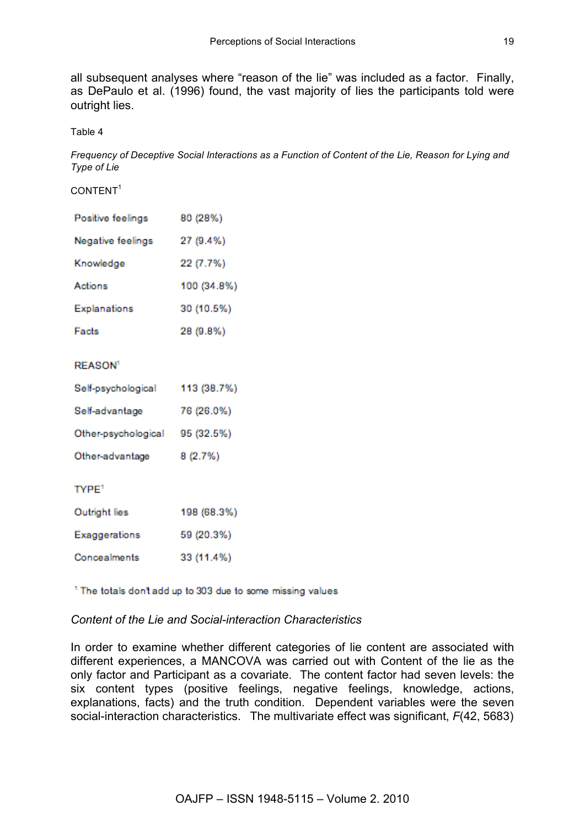all subsequent analyses where "reason of the lie" was included as a factor. Finally, as DePaulo et al. (1996) found, the vast majority of lies the participants told were outright lies.

Table 4

*Frequency of Deceptive Social Interactions as a Function of Content of the Lie, Reason for Lying and Type of Lie*

CONTENT<sup>1</sup>

| Positive feelings | 80 (28%)    |
|-------------------|-------------|
| Negative feelings | 27 (9.4%)   |
| Knowledge         | 22 (7.7%)   |
| Actions           | 100 (34.8%) |
| Explanations      | 30 (10.5%)  |
| Facts             | 28 (9.8%)   |

**REASON** 

| Self-psychological | 113 (38.7%) |
|--------------------|-------------|
| --                 |             |

| Self-advantage |  | 76 (26.0%) |
|----------------|--|------------|
|                |  |            |

- Other-psychological 95 (32.5%)
- $8(2.7%)$ Other-advantage

TYPE<sup>1</sup>

| Outright lies | 198 (68.3%) |
|---------------|-------------|
| Exaggerations | 59 (20.3%)  |
| Concealments  | 33 (11.4%)  |

<sup>1</sup> The totals don't add up to 303 due to some missing values

### *Content of the Lie and Social-interaction Characteristics*

In order to examine whether different categories of lie content are associated with different experiences, a MANCOVA was carried out with Content of the lie as the only factor and Participant as a covariate. The content factor had seven levels: the six content types (positive feelings, negative feelings, knowledge, actions, explanations, facts) and the truth condition. Dependent variables were the seven social-interaction characteristics. The multivariate effect was significant, *F*(42, 5683)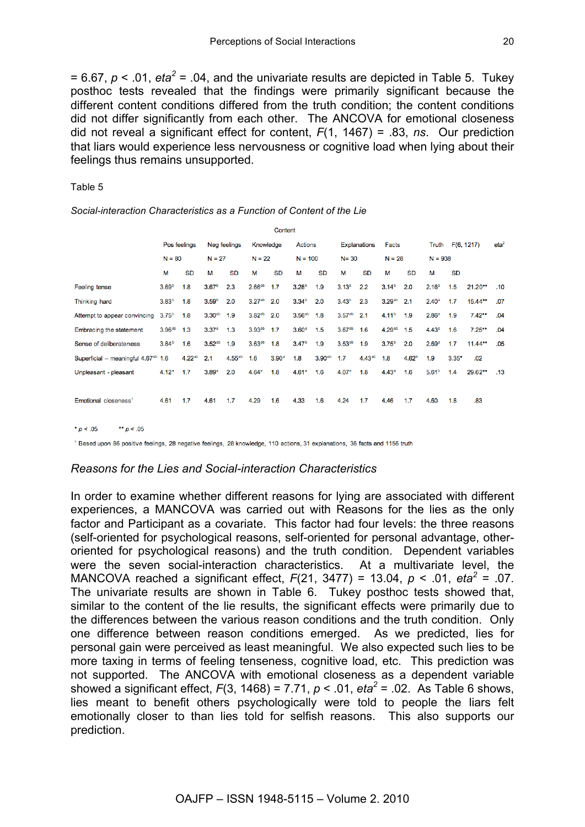$= 6.67$ ,  $p < 0.01$ , *eta*<sup>2</sup> = .04, and the univariate results are depicted in Table 5. Tukey posthoc tests revealed that the findings were primarily significant because the different content conditions differed from the truth condition; the content conditions did not differ significantly from each other. The ANCOVA for emotional closeness did not reveal a significant effect for content, *F*(1, 1467) = .83, *ns*. Our prediction that liars would experience less nervousness or cognitive load when lying about their feelings thus remains unsupported.

#### Table 5

| Content                               |                    |              |                    |                      |                    |                   |                    |                    |                    |                     |                    |                   |                   |           |            |                  |
|---------------------------------------|--------------------|--------------|--------------------|----------------------|--------------------|-------------------|--------------------|--------------------|--------------------|---------------------|--------------------|-------------------|-------------------|-----------|------------|------------------|
|                                       |                    | Pos feelings |                    | Neg feelings         | Knowledge          |                   | <b>Actions</b>     |                    |                    | <b>Explanations</b> | Facts              |                   | Truth             |           | F(6, 1217) | eta <sup>2</sup> |
|                                       | $N = 80$           |              | $N = 27$           |                      | $N = 22$           |                   | $N = 100$          |                    | $N = 30$           |                     | $N = 28$           |                   | $N = 938$         |           |            |                  |
|                                       | М                  | <b>SD</b>    | М                  | SD                   | м                  | SD                | М                  | SD                 | М                  | <b>SD</b>           | М                  | SD                | М                 | <b>SD</b> |            |                  |
| Feeling tense                         | 3.69 <sup>b</sup>  | 1.8          | 3.67 <sup>b</sup>  | 2.3                  | 2.66 <sup>ab</sup> | 1.7               | 3.28 <sup>b</sup>  | 1.9                | 3.13 <sup>b</sup>  | 2.2                 | 3.14 <sup>b</sup>  | 2.0               | 2.16 <sup>a</sup> | 1.5       | $21.20**$  | .10              |
| Thinking hard                         | 3.83 <sup>b</sup>  | 1.8          | 3.59 <sup>b</sup>  | 2.0                  | $3.27^{ab}$ 2.0    |                   | 3.34 <sup>b</sup>  | 2.0                | 3.43 <sup>b</sup>  | 2.3                 | 3.29 <sup>ab</sup> | 2.1               | 2.40 <sup>a</sup> | 1.7       | $15.44***$ | .07              |
| Attempt to appear convincing          | 3.75 <sup>b</sup>  | 1.8          | 3.30 <sup>ab</sup> | 1.9                  | $3.82^{ab}$ 2.0    |                   | 3.56 <sup>ab</sup> | 1.8                | $3.57^{ab}$ 2.1    |                     | 4.11 <sup>b</sup>  | 1.9               | 2.86 <sup>a</sup> | 1.9       | $7.42**$   | .04              |
| Embracing the statement               | 3.96 <sup>ab</sup> | 1.3          | 3.37 <sup>a</sup>  | 1.3                  | $3.93^{ab}$ 1.7    |                   | 3.60 <sup>a</sup>  | 1.5                | $3.67^{ab}$ 1.6    |                     | 4.29a              | 1.5               | 4.43 <sup>b</sup> | 1.6       | $7.25***$  | .04              |
| Sense of deliberateness               | 3.84 <sup>b</sup>  | 1.6          | 3.52 <sup>ab</sup> | 1.9                  | 3.63 <sup>ab</sup> | 1.8               | 3.47 <sup>b</sup>  | 1.9                | 3.53 <sup>ab</sup> | 1.9                 | 3.75 <sup>b</sup>  | 2.0               | 2.69 <sup>a</sup> | 1.7       | $11.44***$ | .05              |
| Superficial - meaningful $4.67ab 1.6$ |                    | 4.22ab       | 2.1                | $4.55$ <sup>ab</sup> | 1.6                | 3.90 <sup>a</sup> | 1.8                | 3.90 <sup>ab</sup> | 1.7                | 4.43 <sup>ab</sup>  | 1.8                | 4.62 <sup>b</sup> | 1.9               | $3.35*$   | .02        |                  |
| Unpleasant - pleasant                 | 4.12 <sup>a</sup>  | 1.7          | 3.89 <sup>a</sup>  | 2.0                  | 4.64 <sup>a</sup>  | 1.8               | 4.61 <sup>a</sup>  | 1.6                | 4.07 <sup>a</sup>  | 1.8                 | $4.43^a$           | 1.6               | 5.61 <sup>b</sup> | 1.4       | 29.62**    | .13              |
|                                       |                    |              |                    |                      |                    |                   |                    |                    |                    |                     |                    |                   |                   |           |            |                  |
| Emotional closeness <sup>1</sup>      | 4.61               | 1.7          | 4.61               | 1.7                  | 4.29               | 1.6               | 4.33               | 1.6                | 4.24               | 1.7                 | 4.46               | 1.7               | 4.60              | 1.8       | .83        |                  |
|                                       |                    |              |                    |                      |                    |                   |                    |                    |                    |                     |                    |                   |                   |           |            |                  |
| $^{\star} p < .05$<br>** $p < .05$    |                    |              |                    |                      |                    |                   |                    |                    |                    |                     |                    |                   |                   |           |            |                  |

*Social-interaction Characteristics as a Function of Content of the Lie*

<sup>1</sup> Based upon 86 positive feelings, 28 negative feelings, 28 knowledge, 110 actions, 31 explanations, 36 facts and 1156 truth

### *Reasons for the Lies and Social-interaction Characteristics*

In order to examine whether different reasons for lying are associated with different experiences, a MANCOVA was carried out with Reasons for the lies as the only factor and Participant as a covariate. This factor had four levels: the three reasons (self-oriented for psychological reasons, self-oriented for personal advantage, otheroriented for psychological reasons) and the truth condition. Dependent variables were the seven social-interaction characteristics. At a multivariate level, the MANCOVA reached a significant effect, *F*(21, 3477) = 13.04, *p* < .01, *eta2* = .07. The univariate results are shown in Table 6. Tukey posthoc tests showed that, similar to the content of the lie results, the significant effects were primarily due to the differences between the various reason conditions and the truth condition. Only one difference between reason conditions emerged. As we predicted, lies for personal gain were perceived as least meaningful. We also expected such lies to be more taxing in terms of feeling tenseness, cognitive load, etc. This prediction was not supported. The ANCOVA with emotional closeness as a dependent variable showed a significant effect,  $F(3, 1468) = 7.71$ ,  $p < .01$ ,  $eta^2 = .02$ . As Table 6 shows, lies meant to benefit others psychologically were told to people the liars felt emotionally closer to than lies told for selfish reasons. This also supports our prediction.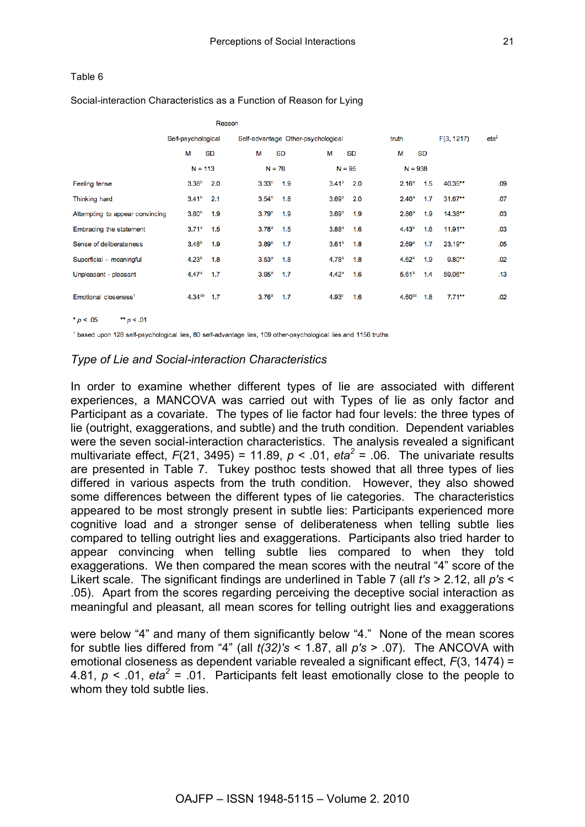#### Table 6

#### Reason Self-psychological Self-advantage Other-psychological truth  $F(3, 1217)$ M SD M **SD** M **SD** M  $SD$  $N = 113$  $N = 76$  $N = 95$  $N = 938$  $3.38<sup>b</sup>$   $2.0$  $3.33<sup>b</sup>$  1.9  $3.41^{b} 20$ **Feeling tense**  $2.16<sup>a</sup>$  1.5 40.35\*\* Thinking hard  $3.41<sup>b</sup>$  $2.1$  $3.54<sup>b</sup>$  $1.8$  $3.69<sup>b</sup>$  $2.0$  $2.40<sup>a</sup>$  $1.7$  $31.67**$  $3.60<sup>b</sup>$  $-19$ 3.79<sup>b</sup>  $3.69<sup>b</sup>$  $19$ Attempting to appear convincing  $19$  $2.88$ <sup>a</sup>  $1<sub>q</sub>$ 14.38\*\* Embracing the statement  $3.71<sup>a</sup>$  $1.5$  $3.78<sup>a</sup>$  $1.5$  $3.88<sup>a</sup>$  $1.6$  $4.43<sup>b</sup>$  $1.6$ 11.91\*\*  $3.48<sup>b</sup>$  $3.61<sup>b</sup>$  $1.9$  $3.89<sup>b</sup>$  $1.8$  $2.69<sup>a</sup>$  $1.7$ Sense of deliberateness  $1.7$ 23.19\*\* Superficial - meaningful  $4.23<sup>b</sup>$  $1.8$  $3.53<sup>a</sup>$  $1.8$  $4.78<sup>b</sup>$  $1.8$  $4.62<sup>b</sup>$  $1.9$  $9.80**$  $5.61<sup>b</sup>$ Unpleasant - pleasant  $4.47a$  $-1.7$  $4.42<sup>a</sup>$  $1.6$  $1.4$ 59.06\*\*  $3.95^{\circ}$  $1.7$  $4.34^{ab}$  1.7 Emotional closeness  $3.76^a$  1.7  $4.93<sup>c</sup>$  $1.6$  $4.60^{bc}$  1.8  $7.71**$  $* p < 0.05$ \*\*  $p < .01$

<sup>1</sup> based upon 128 self-psychological lies, 80 self-advantage lies, 109 other-psychological lies and 1156 truths

Social-interaction Characteristics as a Function of Reason for Lying

### *Type of Lie and Social-interaction Characteristics*

In order to examine whether different types of lie are associated with different experiences, a MANCOVA was carried out with Types of lie as only factor and Participant as a covariate. The types of lie factor had four levels: the three types of lie (outright, exaggerations, and subtle) and the truth condition. Dependent variables were the seven social-interaction characteristics. The analysis revealed a significant multivariate effect,  $F(21, 3495) = 11.89$ ,  $p < .01$ ,  $eta^2 = .06$ . The univariate results are presented in Table 7. Tukey posthoc tests showed that all three types of lies differed in various aspects from the truth condition. However, they also showed some differences between the different types of lie categories. The characteristics appeared to be most strongly present in subtle lies: Participants experienced more cognitive load and a stronger sense of deliberateness when telling subtle lies compared to telling outright lies and exaggerations. Participants also tried harder to appear convincing when telling subtle lies compared to when they told exaggerations. We then compared the mean scores with the neutral "4" score of the Likert scale. The significant findings are underlined in Table 7 (all *t's* > 2.12, all *p's* < .05). Apart from the scores regarding perceiving the deceptive social interaction as meaningful and pleasant, all mean scores for telling outright lies and exaggerations

were below "4" and many of them significantly below "4." None of the mean scores for subtle lies differed from "4" (all *t(32)'s* < 1.87, all *p's* > .07). The ANCOVA with emotional closeness as dependent variable revealed a significant effect, *F*(3, 1474) = 4.81,  $p < 0.01$ , *eta*<sup>2</sup> = 0.01. Participants felt least emotionally close to the people to whom they told subtle lies.

 $eta<sup>2</sup>$ 

 $0<sup>q</sup>$ 

 $.07$ 

റദ

 $.03$ 

 $.05$ 

 $.02$ 

 $.13$ 

 $.02$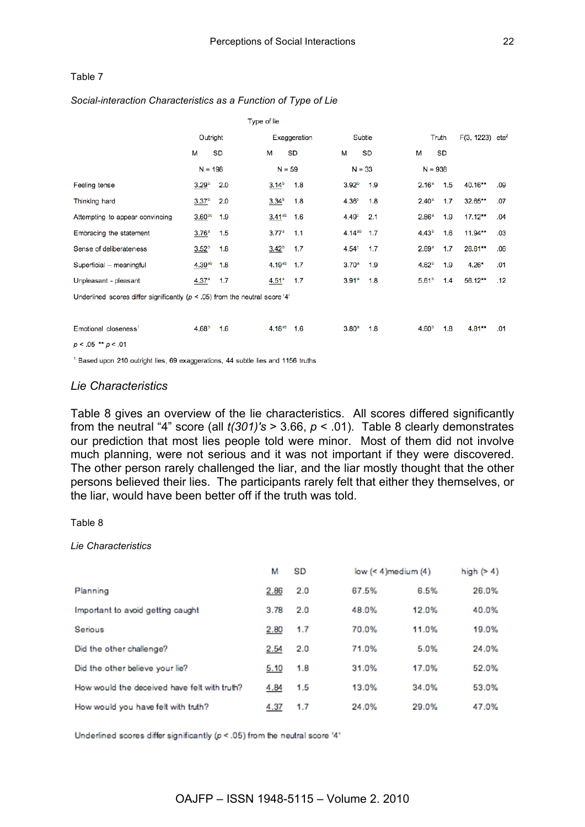#### Table 7

#### *Social-interaction Characteristics as a Function of Type of Lie*

| Type of lie                                                                     |                    |           |                        |              |                   |           |                   |           |                               |     |
|---------------------------------------------------------------------------------|--------------------|-----------|------------------------|--------------|-------------------|-----------|-------------------|-----------|-------------------------------|-----|
|                                                                                 | Outright           |           |                        | Exaggeration |                   | Subtle    |                   | Truth     | $F(3, 1223)$ eta <sup>2</sup> |     |
|                                                                                 | м                  | <b>SD</b> | М                      | <b>SD</b>    | M                 | <b>SD</b> | М                 | <b>SD</b> |                               |     |
|                                                                                 | $N = 198$          |           | $N = 59$               |              |                   | $N = 33$  | $N = 938$         |           |                               |     |
| Feeling tense                                                                   | 3.29 <sup>b</sup>  | 2.0       | 3.14 <sup>b</sup>      | 1.8          | 3.92 <sup>b</sup> | 1.9       | 2.16 <sup>a</sup> | 1.5       | 40.16**                       | .09 |
| Thinking hard                                                                   | 3.37 <sup>b</sup>  | 2.0       | 3.34 <sup>b</sup>      | 1.8          | 4.36 <sup>c</sup> | 1.8       | $2.40^{\circ}$    | 1.7       | 32.65**                       | .07 |
| Attempting to appear convincing                                                 | 3.60 <sup>bc</sup> | 1.9       | $3.41^{ab}$            | 1.6          | 4.49 <sup>c</sup> | 2.1       | 2.86 <sup>a</sup> | 1.9       | $17.12***$                    | .04 |
| Embracing the statement                                                         | 3.76 <sup>a</sup>  | 1.5       | 3.77 <sup>a</sup>      | 1.1          | $4.14^{ab}$       | 1.7       | 4.43 <sup>b</sup> | 1.6       | $11.94**$                     | .03 |
| Sense of deliberateness                                                         | 3.52 <sup>b</sup>  | 1.8       | 3.42 <sup>b</sup>      | 1.7          | $4.54^\circ$      | 1.7       | 2.69 <sup>a</sup> | 1.7       | 26.61**                       | .06 |
| Superficial - meaningful                                                        | 4.39 <sup>ab</sup> | 1.8       | 4.19 <sup>ab</sup> 1.7 |              | 3.70 <sup>a</sup> | 1.9       | 4.62 <sup>b</sup> | 1.9       | $4.26*$                       | .01 |
| Unpleasant - pleasant                                                           | 4.37 <sup>a</sup>  | 1.7       | $4.51^a$               | 1.7          | 3.91a             | 1.8       | 5.61 <sup>b</sup> | 1.4       | 56.12**                       | .12 |
| Underlined scores differ significantly ( $p < .05$ ) from the neutral score '4' |                    |           |                        |              |                   |           |                   |           |                               |     |
|                                                                                 |                    |           |                        |              |                   |           |                   |           |                               |     |
| Emotional closeness <sup>1</sup>                                                | 4.68 <sup>b</sup>  | 1.6       | $4.18^{ab}$            | 1.6          | 3.80 <sup>a</sup> | 1.8       | 4.60 <sup>b</sup> | 1.8       | $4.81***$                     | .01 |
| $p < .05$ ** $p < .01$                                                          |                    |           |                        |              |                   |           |                   |           |                               |     |

<sup>1</sup> Based upon 210 outright lies, 69 exaggerations, 44 subtle lies and 1156 truths

### *Lie Characteristics*

Table 8 gives an overview of the lie characteristics. All scores differed significantly from the neutral "4" score (all  $t(301)'s > 3.66$ ,  $p < .01$ ). Table 8 clearly demonstrates our prediction that most lies people told were minor. Most of them did not involve much planning, were not serious and it was not important if they were discovered. The other person rarely challenged the liar, and the liar mostly thought that the other persons believed their lies. The participants rarely felt that either they themselves, or the liar, would have been better off if the truth was told.

Table 8

*Lie Characteristics*

|                                              | м    | SD  |       | low $(4)$ medium $(4)$ | high $(>4)$ |
|----------------------------------------------|------|-----|-------|------------------------|-------------|
| Planning                                     | 2.86 | 2.0 | 67.5% | 6.5%                   | 26.0%       |
| Important to avoid getting caught            | 3.78 | 2.0 | 48.0% | 12.0%                  | 40.0%       |
| Serious                                      | 2.80 | 1.7 | 70.0% | 11.0%                  | 19.0%       |
| Did the other challenge?                     | 2.54 | 2.0 | 71.0% | 5.0%                   | 24.0%       |
| Did the other believe your lie?              | 5.10 | 1.8 | 31.0% | 17.0%                  | 52.0%       |
| How would the deceived have felt with truth? | 4.84 | 1.5 | 13.0% | 34.0%                  | 53.0%       |
| How would you have felt with truth?          | 4.37 | 1.7 | 24.0% | 29.0%                  | 47.0%       |

Underlined scores differ significantly (p < .05) from the neutral score '4'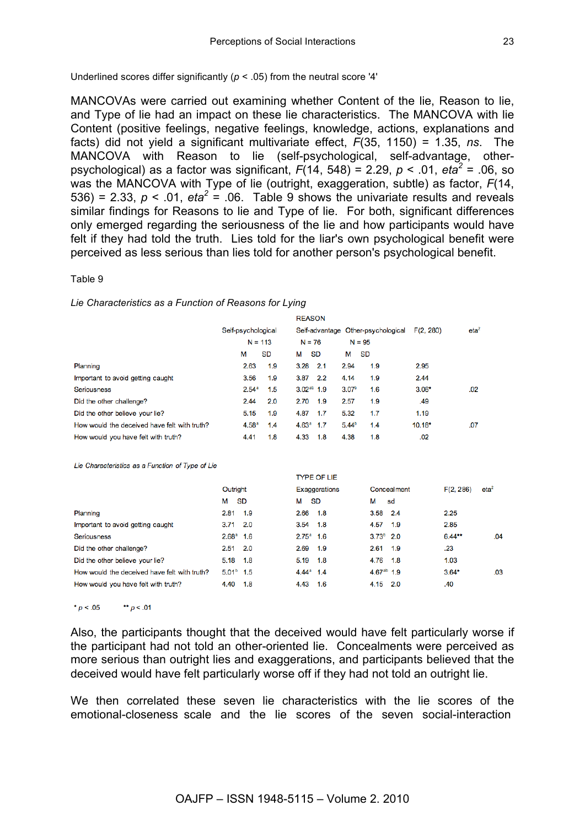#### Underlined scores differ significantly (*p* < .05) from the neutral score '4'

MANCOVAs were carried out examining whether Content of the lie, Reason to lie, and Type of lie had an impact on these lie characteristics. The MANCOVA with lie Content (positive feelings, negative feelings, knowledge, actions, explanations and facts) did not yield a significant multivariate effect, *F*(35, 1150) = 1.35, *ns*. The MANCOVA with Reason to lie (self-psychological, self-advantage, otherpsychological) as a factor was significant, *F*(14, 548) = 2.29, *p* < .01, *eta2* = .06, so was the MANCOVA with Type of lie (outright, exaggeration, subtle) as factor, *F*(14, 536) = 2.33,  $p < 0.01$ , *eta*<sup>2</sup> = .06. Table 9 shows the univariate results and reveals similar findings for Reasons to lie and Type of lie. For both, significant differences only emerged regarding the seriousness of the lie and how participants would have felt if they had told the truth. Lies told for the liar's own psychological benefit were perceived as less serious than lies told for another person's psychological benefit.

#### Table 9

*Lie Characteristics as a Function of Reasons for Lying*

|                                              |                    |           | <b>REASON</b>   |           |                                    |           |                  |     |
|----------------------------------------------|--------------------|-----------|-----------------|-----------|------------------------------------|-----------|------------------|-----|
|                                              | Self-psychological |           |                 |           | Self-advantage Other-psychological | F(2, 280) | eta <sup>2</sup> |     |
|                                              | $N = 113$          |           | $N = 76$        |           |                                    | $N = 95$  |                  |     |
|                                              | м                  | <b>SD</b> | м               | <b>SD</b> | м                                  | <b>SD</b> |                  |     |
| Planning                                     | 2.63               | 1.9       | 3.28            | 2.1       | 2.94                               | 1.9       | 2.95             |     |
| Important to avoid getting caught            | 3.56               | 1.9       | 3.87 2.2        |           | 4.14                               | 1.9       | 2.44             |     |
| <b>Seriousness</b>                           | 2.54 <sup>a</sup>  | 1.5       | $3.02^{ab}$ 1.9 |           | 3.07 <sup>b</sup>                  | 1.6       | $3.06*$          | .02 |
| Did the other challenge?                     | 2.44               | 2.0       | 2.70            | 1.9       | 2.57                               | 1.9       | .49              |     |
| Did the other believe your lie?              | 5.15               | 1.9       | 4.87            | $-1.7$    | 5.32                               | 1.7       | 1.19             |     |
| How would the deceived have felt with truth? | 4.58 <sup>a</sup>  | 1.4       | $4.63^a$ 1.7    |           | 5.44 <sup>b</sup>                  | 1.4       | $10.18*$         | .07 |
| How would you have felt with truth?          | 4.41               | 1.8       | 4.33            | 1.8       | 4.38                               | 1.8       | .02              |     |

Lie Characteristics as a Function of Type of Lie

|                                              |                    |           |                    | I IFE UF LIE |                 |        |           |                  |
|----------------------------------------------|--------------------|-----------|--------------------|--------------|-----------------|--------|-----------|------------------|
|                                              | Outright           |           | Exaggerations      |              | Concealment     |        | F(2, 286) | eta <sup>2</sup> |
|                                              | М                  | <b>SD</b> | м                  | SD           | м               | sd     |           |                  |
| Planning                                     | $2.81$ 1.9         |           | $2.66$ 1.8         |              | 3.58 2.4        |        | 2.25      |                  |
| Important to avoid getting caught            | $3.71$ 2.0         |           | $3.54$ 1.8         |              | 4.57            | 1.9    | 2.85      |                  |
| <b>Seriousness</b>                           | $2.68^a$ 1.6       |           | $2.75^{\circ}$ 1.6 |              | $3.73^b$ 2.0    |        | $6.44***$ | .04              |
| Did the other challenge?                     | $2.51$ $2.0$       |           | 2.69               | 1.9          | 2.61            | 1.9    | .23       |                  |
| Did the other believe your lie?              | $5.18$ 1.8         |           | $5.19$ 1.8         |              | 4.76            | $-1.8$ | 1.03      |                  |
| How would the deceived have felt with truth? | $5.01^{\circ}$ 1.5 |           | $4.44^a$ 1.4       |              | $4.67^{ab}$ 1.9 |        | $3.64*$   | .03              |
| How would you have felt with truth?          | 4.40               | 1.8       | 4.43               | 1.6          | 4.15            | - 2.0  | .40       |                  |
|                                              |                    |           |                    |              |                 |        |           |                  |

TVDE OF UP

#### \*  $p < .05$ \*\*  $p < .01$

Also, the participants thought that the deceived would have felt particularly worse if the participant had not told an other-oriented lie. Concealments were perceived as more serious than outright lies and exaggerations, and participants believed that the deceived would have felt particularly worse off if they had not told an outright lie.

We then correlated these seven lie characteristics with the lie scores of the emotional-closeness scale and the lie scores of the seven social-interaction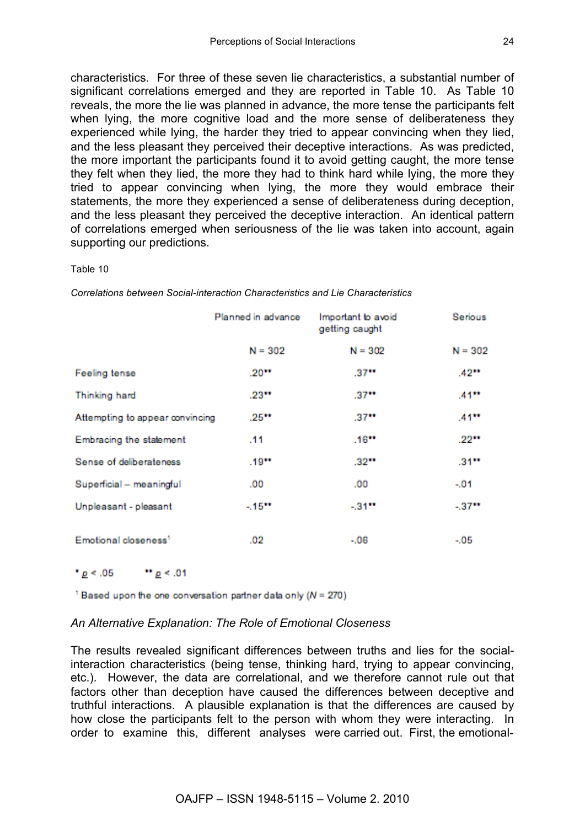characteristics. For three of these seven lie characteristics, a substantial number of significant correlations emerged and they are reported in Table 10. As Table 10 reveals, the more the lie was planned in advance, the more tense the participants felt when lying, the more cognitive load and the more sense of deliberateness they experienced while lying, the harder they tried to appear convincing when they lied, and the less pleasant they perceived their deceptive interactions. As was predicted, the more important the participants found it to avoid getting caught, the more tense they felt when they lied, the more they had to think hard while lying, the more they tried to appear convincing when lying, the more they would embrace their statements, the more they experienced a sense of deliberateness during deception, and the less pleasant they perceived the deceptive interaction. An identical pattern of correlations emerged when seriousness of the lie was taken into account, again supporting our predictions.

#### Table 10

*Correlations between Social-interaction Characteristics and Lie Characteristics*

|                                  | Planned in advance  | Important to avoid<br>getting caught | Serious             |  |
|----------------------------------|---------------------|--------------------------------------|---------------------|--|
|                                  | $N = 302$           | $N = 302$                            | $N = 302$           |  |
| Feeling tense                    | $.20**$             | .37                                  | .42                 |  |
| Thinking hard                    | .23**               | .37                                  | .41                 |  |
| Attempting to appear convincing  | .25**               | .37                                  | .41                 |  |
| Embracing the statement          | .11                 | .16                                  | .22**               |  |
| Sense of deliberateness          | .19                 | $.32**$                              | .31                 |  |
| Superficial - meaningful         | .00                 | .00                                  | $-01$               |  |
| Unpleasant - pleasant            | $-15$ <sup>**</sup> | $-31$ <sup>**</sup>                  | $-37$ <sup>**</sup> |  |
| Emotional closeness <sup>1</sup> | .02                 | -.06                                 | $-0.05$             |  |

#### $^{\bullet} p < .05$  $\frac{m}{p}$  < .01

<sup>1</sup> Based upon the one conversation partner data only ( $N = 270$ )

# *An Alternative Explanation: The Role of Emotional Closeness*

The results revealed significant differences between truths and lies for the socialinteraction characteristics (being tense, thinking hard, trying to appear convincing, etc.). However, the data are correlational, and we therefore cannot rule out that factors other than deception have caused the differences between deceptive and truthful interactions. A plausible explanation is that the differences are caused by how close the participants felt to the person with whom they were interacting. In order to examine this, different analyses were carried out. First, the emotional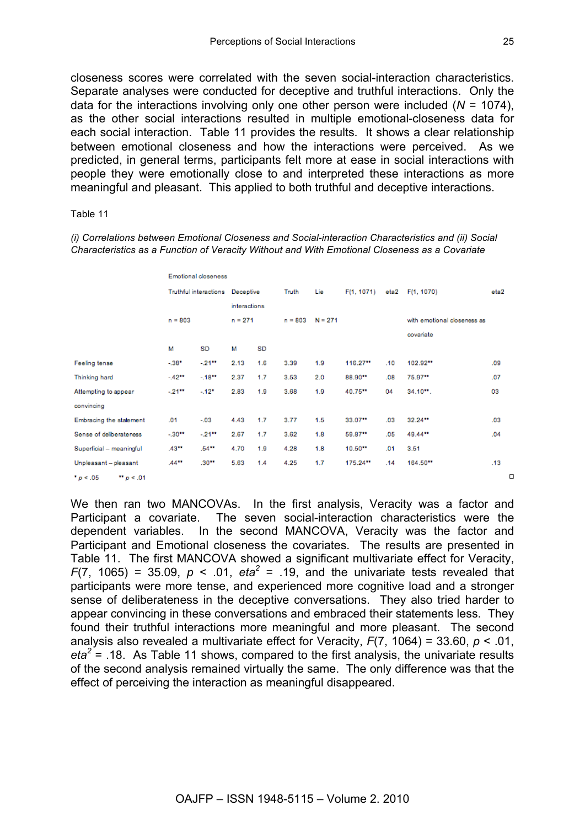closeness scores were correlated with the seven social-interaction characteristics. Separate analyses were conducted for deceptive and truthful interactions. Only the data for the interactions involving only one other person were included (*N* = 1074), as the other social interactions resulted in multiple emotional-closeness data for each social interaction. Table 11 provides the results. It shows a clear relationship between emotional closeness and how the interactions were perceived. As we predicted, in general terms, participants felt more at ease in social interactions with people they were emotionally close to and interpreted these interactions as more meaningful and pleasant. This applied to both truthful and deceptive interactions.

#### Table 11

*(i) Correlations between Emotional Closeness and Social-interaction Characteristics and (ii) Social Characteristics as a Function of Veracity Without and With Emotional Closeness as a Covariate*

|                                       | Emotional closeness             |                     |              |     |           |           |            |      |                             |      |
|---------------------------------------|---------------------------------|---------------------|--------------|-----|-----------|-----------|------------|------|-----------------------------|------|
|                                       | Truthful interactions Deceptive |                     |              |     | Truth     | Lie       | F(1, 1071) | eta2 | F(1, 1070)                  | eta2 |
|                                       | $n = 803$                       |                     | interactions |     |           |           |            |      |                             |      |
|                                       |                                 |                     | $n = 271$    |     | $n = 803$ | $N = 271$ |            |      | with emotional closeness as |      |
|                                       |                                 |                     |              |     |           |           |            |      | covariate                   |      |
|                                       | М                               | SD                  | м            | SD  |           |           |            |      |                             |      |
| Feeling tense                         | $-38"$                          | $-21$ <sup>**</sup> | 2.13         | 1.6 | 3.39      | 1.9       | 116.27**   | .10  | 102.92**                    | .09  |
| Thinking hard                         | $-42$                           | $-18$               | 2.37         | 1.7 | 3.53      | 2.0       | 88.90**    | .08  | 75.97**                     | .07  |
| Attempting to appear                  | $-21$ <sup>**</sup>             | $-12"$              | 2.83         | 1.9 | 3.68      | 1.9       | 40.75**    | 04   | 34.10                       | 03   |
| convincing                            |                                 |                     |              |     |           |           |            |      |                             |      |
| Embracing the statement               | .01                             | $-03$               | 4.43         | 1.7 | 3.77      | 1.5       | 33.07      | .03  | $32.24**$                   | .03  |
| Sense of deliberateness               | $-30**$                         | $-21$ <sup>**</sup> | 2.67         | 1.7 | 3.62      | 1.8       | 59.87**    | .05  | 49.44**                     | .04  |
| Superficial - meaningful              | .43                             | $.54**$             | 4.70         | 1.9 | 4.28      | 1.8       | $10.50**$  | .01  | 3.51                        |      |
| Unpleasant - pleasant                 | 44                              | $.30**$             | 5.63         | 1.4 | 4.25      | 1.7       | 175.24**   | .14  | 164.50**                    | .13  |
| $^{\bullet} p < .05$<br>$m_{D}$ < .01 |                                 |                     |              |     |           |           |            |      |                             |      |

We then ran two MANCOVAs. In the first analysis, Veracity was a factor and Participant a covariate. The seven social-interaction characteristics were the dependent variables. In the second MANCOVA, Veracity was the factor and Participant and Emotional closeness the covariates. The results are presented in Table 11. The first MANCOVA showed a significant multivariate effect for Veracity, *F*(7, 1065) = 35.09,  $p < .01$ , *eta*<sup>2</sup> = .19, and the univariate tests revealed that participants were more tense, and experienced more cognitive load and a stronger sense of deliberateness in the deceptive conversations. They also tried harder to appear convincing in these conversations and embraced their statements less. They found their truthful interactions more meaningful and more pleasant. The second analysis also revealed a multivariate effect for Veracity, *F*(7, 1064) = 33.60, *p* < .01, *eta2* = .18. As Table 11 shows, compared to the first analysis, the univariate results of the second analysis remained virtually the same. The only difference was that the effect of perceiving the interaction as meaningful disappeared.

 $\Box$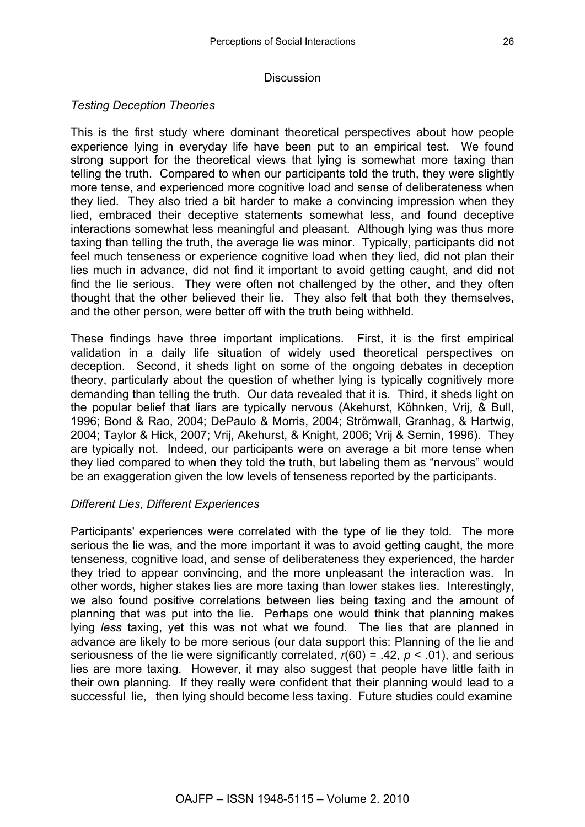#### **Discussion**

# *Testing Deception Theories*

This is the first study where dominant theoretical perspectives about how people experience lying in everyday life have been put to an empirical test. We found strong support for the theoretical views that lying is somewhat more taxing than telling the truth. Compared to when our participants told the truth, they were slightly more tense, and experienced more cognitive load and sense of deliberateness when they lied. They also tried a bit harder to make a convincing impression when they lied, embraced their deceptive statements somewhat less, and found deceptive interactions somewhat less meaningful and pleasant. Although lying was thus more taxing than telling the truth, the average lie was minor. Typically, participants did not feel much tenseness or experience cognitive load when they lied, did not plan their lies much in advance, did not find it important to avoid getting caught, and did not find the lie serious. They were often not challenged by the other, and they often thought that the other believed their lie. They also felt that both they themselves, and the other person, were better off with the truth being withheld.

These findings have three important implications. First, it is the first empirical validation in a daily life situation of widely used theoretical perspectives on deception. Second, it sheds light on some of the ongoing debates in deception theory, particularly about the question of whether lying is typically cognitively more demanding than telling the truth. Our data revealed that it is. Third, it sheds light on the popular belief that liars are typically nervous (Akehurst, Köhnken, Vrij, & Bull, 1996; Bond & Rao, 2004; DePaulo & Morris, 2004; Strömwall, Granhag, & Hartwig, 2004; Taylor & Hick, 2007; Vrij, Akehurst, & Knight, 2006; Vrij & Semin, 1996). They are typically not. Indeed, our participants were on average a bit more tense when they lied compared to when they told the truth, but labeling them as "nervous" would be an exaggeration given the low levels of tenseness reported by the participants.

### *Different Lies, Different Experiences*

Participants' experiences were correlated with the type of lie they told. The more serious the lie was, and the more important it was to avoid getting caught, the more tenseness, cognitive load, and sense of deliberateness they experienced, the harder they tried to appear convincing, and the more unpleasant the interaction was. In other words, higher stakes lies are more taxing than lower stakes lies. Interestingly, we also found positive correlations between lies being taxing and the amount of planning that was put into the lie. Perhaps one would think that planning makes lying *less* taxing, yet this was not what we found. The lies that are planned in advance are likely to be more serious (our data support this: Planning of the lie and seriousness of the lie were significantly correlated, *r*(60) = .42, *p* < .01), and serious lies are more taxing. However, it may also suggest that people have little faith in their own planning. If they really were confident that their planning would lead to a successful lie, then lying should become less taxing. Future studies could examine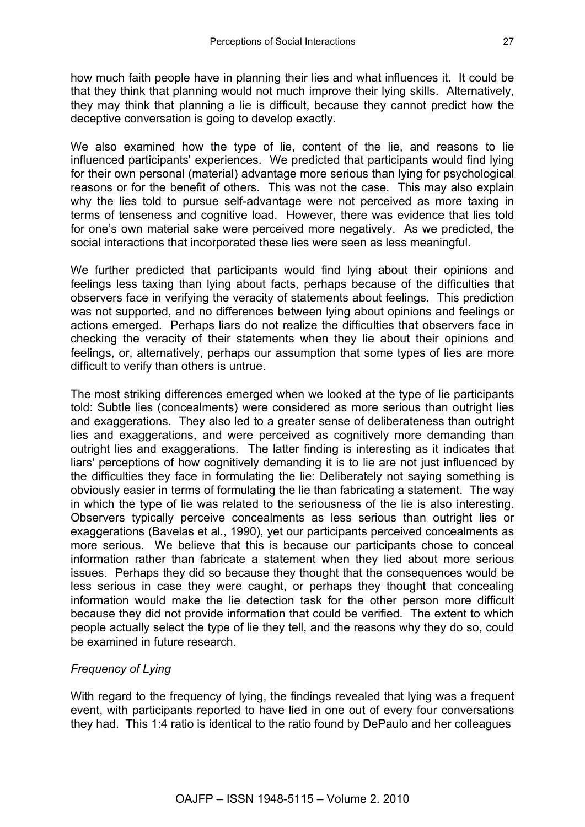how much faith people have in planning their lies and what influences it. It could be that they think that planning would not much improve their lying skills. Alternatively, they may think that planning a lie is difficult, because they cannot predict how the deceptive conversation is going to develop exactly.

We also examined how the type of lie, content of the lie, and reasons to lie influenced participants' experiences. We predicted that participants would find lying for their own personal (material) advantage more serious than lying for psychological reasons or for the benefit of others. This was not the case. This may also explain why the lies told to pursue self-advantage were not perceived as more taxing in terms of tenseness and cognitive load. However, there was evidence that lies told for one's own material sake were perceived more negatively. As we predicted, the social interactions that incorporated these lies were seen as less meaningful.

We further predicted that participants would find lying about their opinions and feelings less taxing than lying about facts, perhaps because of the difficulties that observers face in verifying the veracity of statements about feelings. This prediction was not supported, and no differences between lying about opinions and feelings or actions emerged. Perhaps liars do not realize the difficulties that observers face in checking the veracity of their statements when they lie about their opinions and feelings, or, alternatively, perhaps our assumption that some types of lies are more difficult to verify than others is untrue.

The most striking differences emerged when we looked at the type of lie participants told: Subtle lies (concealments) were considered as more serious than outright lies and exaggerations. They also led to a greater sense of deliberateness than outright lies and exaggerations, and were perceived as cognitively more demanding than outright lies and exaggerations. The latter finding is interesting as it indicates that liars' perceptions of how cognitively demanding it is to lie are not just influenced by the difficulties they face in formulating the lie: Deliberately not saying something is obviously easier in terms of formulating the lie than fabricating a statement. The way in which the type of lie was related to the seriousness of the lie is also interesting. Observers typically perceive concealments as less serious than outright lies or exaggerations (Bavelas et al., 1990), yet our participants perceived concealments as more serious. We believe that this is because our participants chose to conceal information rather than fabricate a statement when they lied about more serious issues. Perhaps they did so because they thought that the consequences would be less serious in case they were caught, or perhaps they thought that concealing information would make the lie detection task for the other person more difficult because they did not provide information that could be verified. The extent to which people actually select the type of lie they tell, and the reasons why they do so, could be examined in future research.

# *Frequency of Lying*

With regard to the frequency of Iving, the findings revealed that Iving was a frequent event, with participants reported to have lied in one out of every four conversations they had. This 1:4 ratio is identical to the ratio found by DePaulo and her colleagues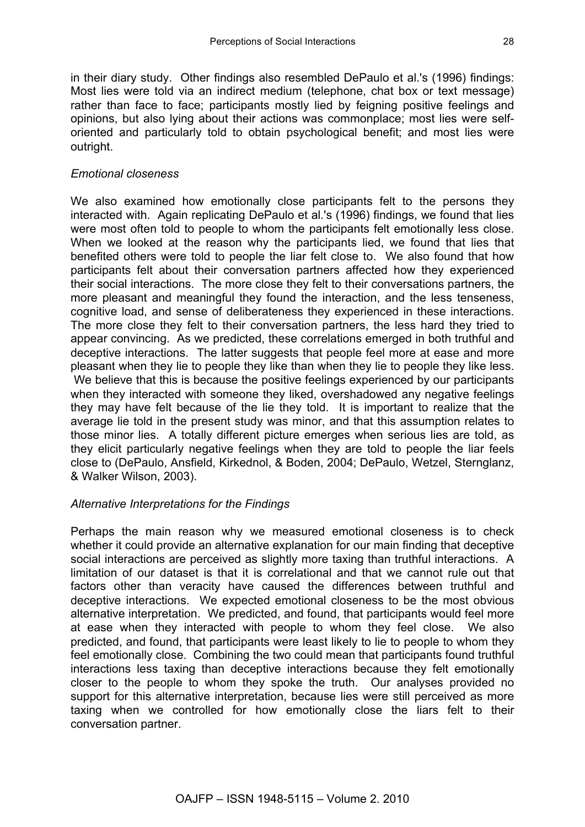in their diary study. Other findings also resembled DePaulo et al.'s (1996) findings: Most lies were told via an indirect medium (telephone, chat box or text message) rather than face to face; participants mostly lied by feigning positive feelings and opinions, but also lying about their actions was commonplace; most lies were selforiented and particularly told to obtain psychological benefit; and most lies were outright.

# *Emotional closeness*

We also examined how emotionally close participants felt to the persons they interacted with. Again replicating DePaulo et al.'s (1996) findings, we found that lies were most often told to people to whom the participants felt emotionally less close. When we looked at the reason why the participants lied, we found that lies that benefited others were told to people the liar felt close to. We also found that how participants felt about their conversation partners affected how they experienced their social interactions. The more close they felt to their conversations partners, the more pleasant and meaningful they found the interaction, and the less tenseness, cognitive load, and sense of deliberateness they experienced in these interactions. The more close they felt to their conversation partners, the less hard they tried to appear convincing. As we predicted, these correlations emerged in both truthful and deceptive interactions. The latter suggests that people feel more at ease and more pleasant when they lie to people they like than when they lie to people they like less. We believe that this is because the positive feelings experienced by our participants when they interacted with someone they liked, overshadowed any negative feelings they may have felt because of the lie they told. It is important to realize that the average lie told in the present study was minor, and that this assumption relates to those minor lies. A totally different picture emerges when serious lies are told, as they elicit particularly negative feelings when they are told to people the liar feels close to (DePaulo, Ansfield, Kirkednol, & Boden, 2004; DePaulo, Wetzel, Sternglanz, & Walker Wilson, 2003).

# *Alternative Interpretations for the Findings*

Perhaps the main reason why we measured emotional closeness is to check whether it could provide an alternative explanation for our main finding that deceptive social interactions are perceived as slightly more taxing than truthful interactions. A limitation of our dataset is that it is correlational and that we cannot rule out that factors other than veracity have caused the differences between truthful and deceptive interactions. We expected emotional closeness to be the most obvious alternative interpretation. We predicted, and found, that participants would feel more at ease when they interacted with people to whom they feel close. We also predicted, and found, that participants were least likely to lie to people to whom they feel emotionally close. Combining the two could mean that participants found truthful interactions less taxing than deceptive interactions because they felt emotionally closer to the people to whom they spoke the truth. Our analyses provided no support for this alternative interpretation, because lies were still perceived as more taxing when we controlled for how emotionally close the liars felt to their conversation partner.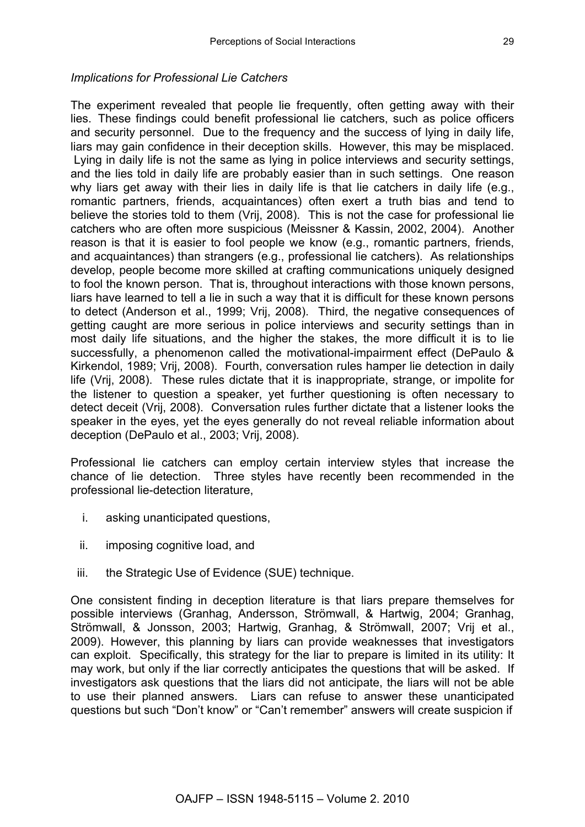# *Implications for Professional Lie Catchers*

The experiment revealed that people lie frequently, often getting away with their lies. These findings could benefit professional lie catchers, such as police officers and security personnel. Due to the frequency and the success of lying in daily life, liars may gain confidence in their deception skills. However, this may be misplaced. Lying in daily life is not the same as lying in police interviews and security settings, and the lies told in daily life are probably easier than in such settings. One reason why liars get away with their lies in daily life is that lie catchers in daily life (e.g., romantic partners, friends, acquaintances) often exert a truth bias and tend to believe the stories told to them (Vrij, 2008). This is not the case for professional lie catchers who are often more suspicious (Meissner & Kassin, 2002, 2004). Another reason is that it is easier to fool people we know (e.g., romantic partners, friends, and acquaintances) than strangers (e.g., professional lie catchers). As relationships develop, people become more skilled at crafting communications uniquely designed to fool the known person. That is, throughout interactions with those known persons, liars have learned to tell a lie in such a way that it is difficult for these known persons to detect (Anderson et al., 1999; Vrij, 2008). Third, the negative consequences of getting caught are more serious in police interviews and security settings than in most daily life situations, and the higher the stakes, the more difficult it is to lie successfully, a phenomenon called the motivational-impairment effect (DePaulo & Kirkendol, 1989; Vrij, 2008). Fourth, conversation rules hamper lie detection in daily life (Vrij, 2008). These rules dictate that it is inappropriate, strange, or impolite for the listener to question a speaker, yet further questioning is often necessary to detect deceit (Vrij, 2008). Conversation rules further dictate that a listener looks the speaker in the eyes, yet the eyes generally do not reveal reliable information about deception (DePaulo et al., 2003; Vrij, 2008).

Professional lie catchers can employ certain interview styles that increase the chance of lie detection. Three styles have recently been recommended in the professional lie-detection literature,

- i. asking unanticipated questions,
- ii. imposing cognitive load, and
- iii. the Strategic Use of Evidence (SUE) technique.

One consistent finding in deception literature is that liars prepare themselves for possible interviews (Granhag, Andersson, Strömwall, & Hartwig, 2004; Granhag, Strömwall, & Jonsson, 2003; Hartwig, Granhag, & Strömwall, 2007; Vrij et al., 2009). However, this planning by liars can provide weaknesses that investigators can exploit. Specifically, this strategy for the liar to prepare is limited in its utility: It may work, but only if the liar correctly anticipates the questions that will be asked. If investigators ask questions that the liars did not anticipate, the liars will not be able to use their planned answers. Liars can refuse to answer these unanticipated questions but such "Don't know" or "Can't remember" answers will create suspicion if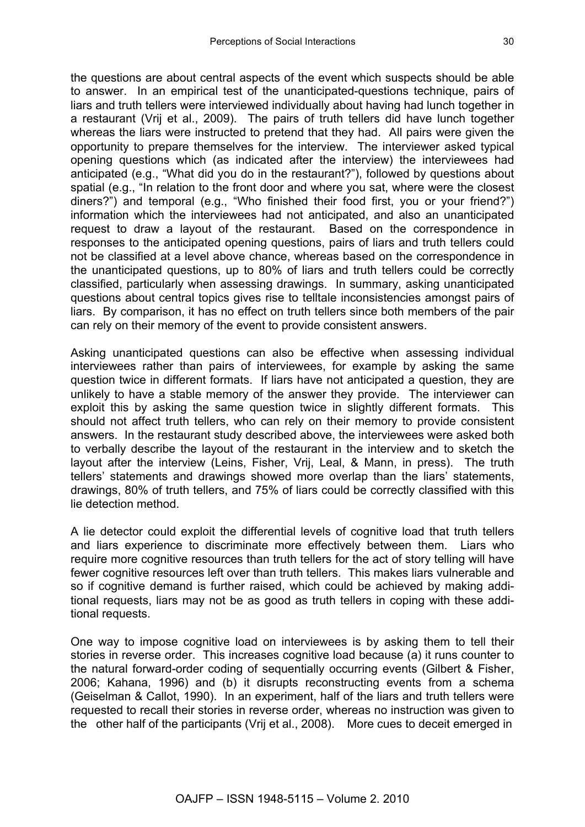the questions are about central aspects of the event which suspects should be able to answer. In an empirical test of the unanticipated-questions technique, pairs of liars and truth tellers were interviewed individually about having had lunch together in a restaurant (Vrij et al., 2009). The pairs of truth tellers did have lunch together whereas the liars were instructed to pretend that they had. All pairs were given the opportunity to prepare themselves for the interview. The interviewer asked typical opening questions which (as indicated after the interview) the interviewees had anticipated (e.g., "What did you do in the restaurant?"), followed by questions about spatial (e.g., "In relation to the front door and where you sat, where were the closest diners?") and temporal (e.g., "Who finished their food first, you or your friend?") information which the interviewees had not anticipated, and also an unanticipated request to draw a layout of the restaurant. Based on the correspondence in responses to the anticipated opening questions, pairs of liars and truth tellers could not be classified at a level above chance, whereas based on the correspondence in the unanticipated questions, up to 80% of liars and truth tellers could be correctly classified, particularly when assessing drawings. In summary, asking unanticipated questions about central topics gives rise to telltale inconsistencies amongst pairs of liars. By comparison, it has no effect on truth tellers since both members of the pair can rely on their memory of the event to provide consistent answers.

Asking unanticipated questions can also be effective when assessing individual interviewees rather than pairs of interviewees, for example by asking the same question twice in different formats. If liars have not anticipated a question, they are unlikely to have a stable memory of the answer they provide. The interviewer can exploit this by asking the same question twice in slightly different formats. This should not affect truth tellers, who can rely on their memory to provide consistent answers. In the restaurant study described above, the interviewees were asked both to verbally describe the layout of the restaurant in the interview and to sketch the layout after the interview (Leins, Fisher, Vrij, Leal, & Mann, in press). The truth tellers' statements and drawings showed more overlap than the liars' statements, drawings, 80% of truth tellers, and 75% of liars could be correctly classified with this lie detection method.

A lie detector could exploit the differential levels of cognitive load that truth tellers and liars experience to discriminate more effectively between them. Liars who require more cognitive resources than truth tellers for the act of story telling will have fewer cognitive resources left over than truth tellers. This makes liars vulnerable and so if cognitive demand is further raised, which could be achieved by making additional requests, liars may not be as good as truth tellers in coping with these additional requests.

One way to impose cognitive load on interviewees is by asking them to tell their stories in reverse order. This increases cognitive load because (a) it runs counter to the natural forward-order coding of sequentially occurring events (Gilbert & Fisher, 2006; Kahana, 1996) and (b) it disrupts reconstructing events from a schema (Geiselman & Callot, 1990). In an experiment, half of the liars and truth tellers were requested to recall their stories in reverse order, whereas no instruction was given to the other half of the participants (Vrij et al., 2008). More cues to deceit emerged in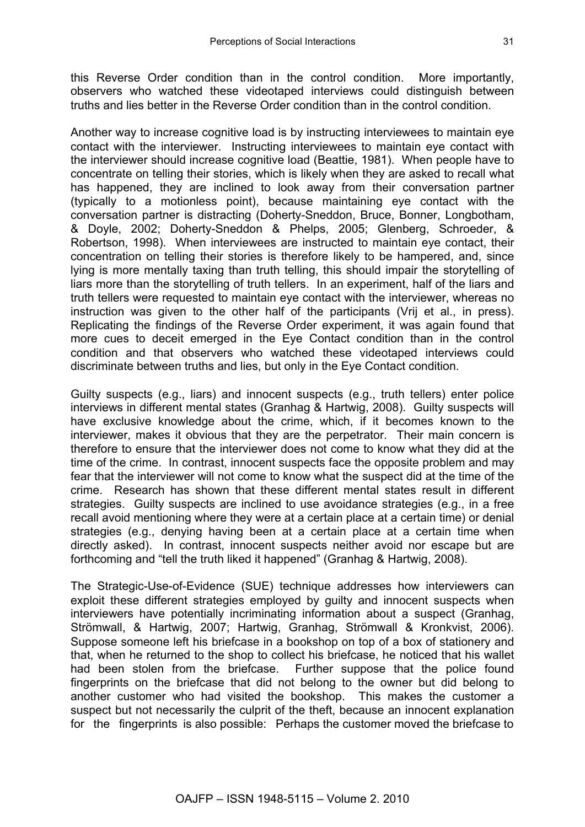this Reverse Order condition than in the control condition. More importantly, observers who watched these videotaped interviews could distinguish between truths and lies better in the Reverse Order condition than in the control condition.

Another way to increase cognitive load is by instructing interviewees to maintain eye contact with the interviewer. Instructing interviewees to maintain eye contact with the interviewer should increase cognitive load (Beattie, 1981). When people have to concentrate on telling their stories, which is likely when they are asked to recall what has happened, they are inclined to look away from their conversation partner (typically to a motionless point), because maintaining eye contact with the conversation partner is distracting (Doherty-Sneddon, Bruce, Bonner, Longbotham, & Doyle, 2002; Doherty-Sneddon & Phelps, 2005; Glenberg, Schroeder, & Robertson, 1998). When interviewees are instructed to maintain eye contact, their concentration on telling their stories is therefore likely to be hampered, and, since lying is more mentally taxing than truth telling, this should impair the storytelling of liars more than the storytelling of truth tellers. In an experiment, half of the liars and truth tellers were requested to maintain eye contact with the interviewer, whereas no instruction was given to the other half of the participants (Vrij et al., in press). Replicating the findings of the Reverse Order experiment, it was again found that more cues to deceit emerged in the Eye Contact condition than in the control condition and that observers who watched these videotaped interviews could discriminate between truths and lies, but only in the Eye Contact condition.

Guilty suspects (e.g., liars) and innocent suspects (e.g., truth tellers) enter police interviews in different mental states (Granhag & Hartwig, 2008). Guilty suspects will have exclusive knowledge about the crime, which, if it becomes known to the interviewer, makes it obvious that they are the perpetrator. Their main concern is therefore to ensure that the interviewer does not come to know what they did at the time of the crime. In contrast, innocent suspects face the opposite problem and may fear that the interviewer will not come to know what the suspect did at the time of the crime. Research has shown that these different mental states result in different strategies. Guilty suspects are inclined to use avoidance strategies (e.g., in a free recall avoid mentioning where they were at a certain place at a certain time) or denial strategies (e.g., denying having been at a certain place at a certain time when directly asked). In contrast, innocent suspects neither avoid nor escape but are forthcoming and "tell the truth liked it happened" (Granhag & Hartwig, 2008).

The Strategic-Use-of-Evidence (SUE) technique addresses how interviewers can exploit these different strategies employed by guilty and innocent suspects when interviewers have potentially incriminating information about a suspect (Granhag, Strömwall, & Hartwig, 2007; Hartwig, Granhag, Strömwall & Kronkvist, 2006). Suppose someone left his briefcase in a bookshop on top of a box of stationery and that, when he returned to the shop to collect his briefcase, he noticed that his wallet had been stolen from the briefcase. Further suppose that the police found fingerprints on the briefcase that did not belong to the owner but did belong to another customer who had visited the bookshop. This makes the customer a suspect but not necessarily the culprit of the theft, because an innocent explanation for the fingerprints is also possible: Perhaps the customer moved the briefcase to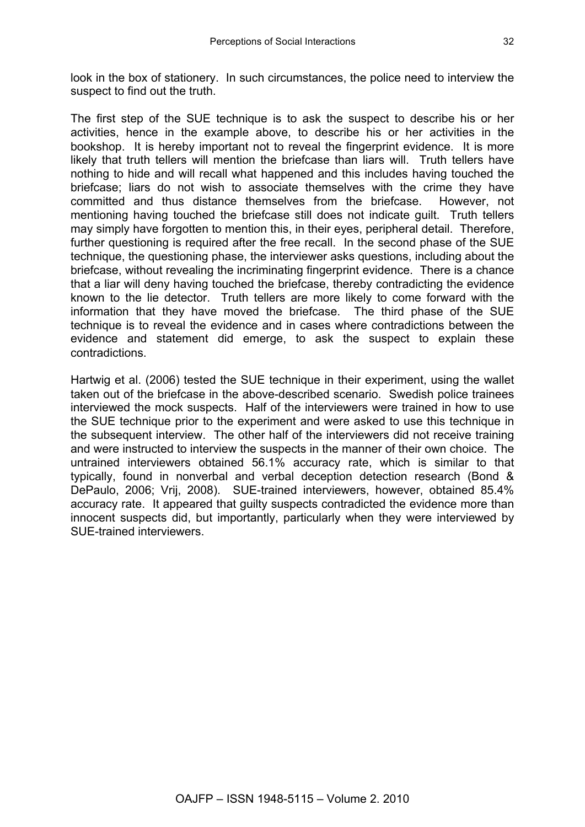look in the box of stationery. In such circumstances, the police need to interview the suspect to find out the truth.

The first step of the SUE technique is to ask the suspect to describe his or her activities, hence in the example above, to describe his or her activities in the bookshop. It is hereby important not to reveal the fingerprint evidence. It is more likely that truth tellers will mention the briefcase than liars will. Truth tellers have nothing to hide and will recall what happened and this includes having touched the briefcase; liars do not wish to associate themselves with the crime they have committed and thus distance themselves from the briefcase. However, not mentioning having touched the briefcase still does not indicate guilt. Truth tellers may simply have forgotten to mention this, in their eyes, peripheral detail. Therefore, further questioning is required after the free recall. In the second phase of the SUE technique, the questioning phase, the interviewer asks questions, including about the briefcase, without revealing the incriminating fingerprint evidence. There is a chance that a liar will deny having touched the briefcase, thereby contradicting the evidence known to the lie detector. Truth tellers are more likely to come forward with the information that they have moved the briefcase. The third phase of the SUE technique is to reveal the evidence and in cases where contradictions between the evidence and statement did emerge, to ask the suspect to explain these contradictions.

Hartwig et al. (2006) tested the SUE technique in their experiment, using the wallet taken out of the briefcase in the above-described scenario. Swedish police trainees interviewed the mock suspects. Half of the interviewers were trained in how to use the SUE technique prior to the experiment and were asked to use this technique in the subsequent interview. The other half of the interviewers did not receive training and were instructed to interview the suspects in the manner of their own choice. The untrained interviewers obtained 56.1% accuracy rate, which is similar to that typically, found in nonverbal and verbal deception detection research (Bond & DePaulo, 2006; Vrij, 2008). SUE-trained interviewers, however, obtained 85.4% accuracy rate. It appeared that guilty suspects contradicted the evidence more than innocent suspects did, but importantly, particularly when they were interviewed by SUE-trained interviewers.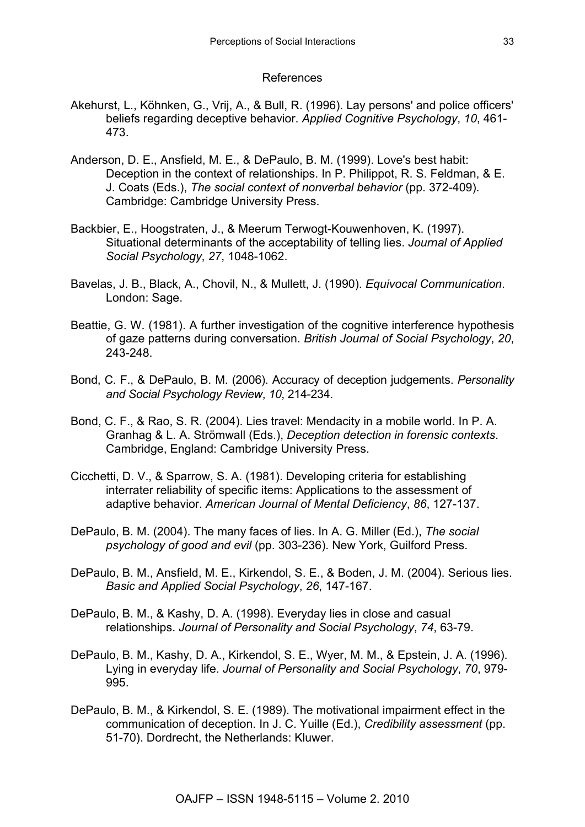# References

- Akehurst, L., Köhnken, G., Vrij, A., & Bull, R. (1996). Lay persons' and police officers' beliefs regarding deceptive behavior. *Applied Cognitive Psychology*, *10*, 461- 473.
- Anderson, D. E., Ansfield, M. E., & DePaulo, B. M. (1999). Love's best habit: Deception in the context of relationships. In P. Philippot, R. S. Feldman, & E. J. Coats (Eds.), *The social context of nonverbal behavior* (pp. 372-409). Cambridge: Cambridge University Press.
- Backbier, E., Hoogstraten, J., & Meerum Terwogt-Kouwenhoven, K. (1997). Situational determinants of the acceptability of telling lies. *Journal of Applied Social Psychology*, *27*, 1048-1062.
- Bavelas, J. B., Black, A., Chovil, N., & Mullett, J. (1990). *Equivocal Communication*. London: Sage.
- Beattie, G. W. (1981). A further investigation of the cognitive interference hypothesis of gaze patterns during conversation. *British Journal of Social Psychology*, *20*, 243-248.
- Bond, C. F., & DePaulo, B. M. (2006). Accuracy of deception judgements. *Personality and Social Psychology Review*, *10*, 214-234.
- Bond, C. F., & Rao, S. R. (2004). Lies travel: Mendacity in a mobile world. In P. A. Granhag & L. A. Strömwall (Eds.), *Deception detection in forensic contexts*. Cambridge, England: Cambridge University Press.
- Cicchetti, D. V., & Sparrow, S. A. (1981). Developing criteria for establishing interrater reliability of specific items: Applications to the assessment of adaptive behavior. *American Journal of Mental Deficiency*, *86*, 127-137.
- DePaulo, B. M. (2004). The many faces of lies. In A. G. Miller (Ed.), *The social psychology of good and evil* (pp. 303-236). New York, Guilford Press.
- DePaulo, B. M., Ansfield, M. E., Kirkendol, S. E., & Boden, J. M. (2004). Serious lies. *Basic and Applied Social Psychology*, *26*, 147-167.
- DePaulo, B. M., & Kashy, D. A. (1998). Everyday lies in close and casual relationships. *Journal of Personality and Social Psychology*, *74*, 63-79.
- DePaulo, B. M., Kashy, D. A., Kirkendol, S. E., Wyer, M. M., & Epstein, J. A. (1996). Lying in everyday life. *Journal of Personality and Social Psychology*, *70*, 979- 995.
- DePaulo, B. M., & Kirkendol, S. E. (1989). The motivational impairment effect in the communication of deception. In J. C. Yuille (Ed.), *Credibility assessment* (pp. 51-70). Dordrecht, the Netherlands: Kluwer.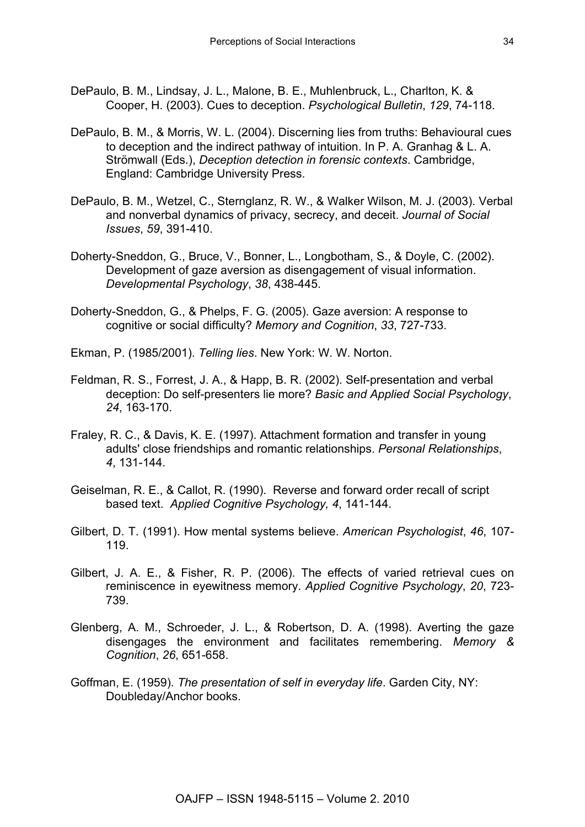- DePaulo, B. M., Lindsay, J. L., Malone, B. E., Muhlenbruck, L., Charlton, K. & Cooper, H. (2003). Cues to deception. *Psychological Bulletin*, *129*, 74-118.
- DePaulo, B. M., & Morris, W. L. (2004). Discerning lies from truths: Behavioural cues to deception and the indirect pathway of intuition. In P. A. Granhag & L. A. Strömwall (Eds.), *Deception detection in forensic contexts*. Cambridge, England: Cambridge University Press.
- DePaulo, B. M., Wetzel, C., Sternglanz, R. W., & Walker Wilson, M. J. (2003). Verbal and nonverbal dynamics of privacy, secrecy, and deceit. *Journal of Social Issues*, *59*, 391-410.
- Doherty-Sneddon, G., Bruce, V., Bonner, L., Longbotham, S., & Doyle, C. (2002). Development of gaze aversion as disengagement of visual information. *Developmental Psychology*, *38*, 438-445.
- Doherty-Sneddon, G., & Phelps, F. G. (2005). Gaze aversion: A response to cognitive or social difficulty? *Memory and Cognition*, *33*, 727-733.
- Ekman, P. (1985/2001). *Telling lies*. New York: W. W. Norton.
- Feldman, R. S., Forrest, J. A., & Happ, B. R. (2002). Self-presentation and verbal deception: Do self-presenters lie more? *Basic and Applied Social Psychology*, *24*, 163-170.
- Fraley, R. C., & Davis, K. E. (1997). Attachment formation and transfer in young adults' close friendships and romantic relationships. *Personal Relationships*, *4*, 131-144.
- Geiselman, R. E., & Callot, R. (1990). Reverse and forward order recall of script based text. *Applied Cognitive Psychology, 4*, 141-144.
- Gilbert, D. T. (1991). How mental systems believe. *American Psychologist*, *46*, 107- 119.
- Gilbert, J. A. E., & Fisher, R. P. (2006). The effects of varied retrieval cues on reminiscence in eyewitness memory. *Applied Cognitive Psychology*, *20*, 723- 739.
- Glenberg, A. M., Schroeder, J. L., & Robertson, D. A. (1998). Averting the gaze disengages the environment and facilitates remembering. *Memory & Cognition*, *26*, 651-658.
- Goffman, E. (1959). *The presentation of self in everyday life*. Garden City, NY: Doubleday/Anchor books.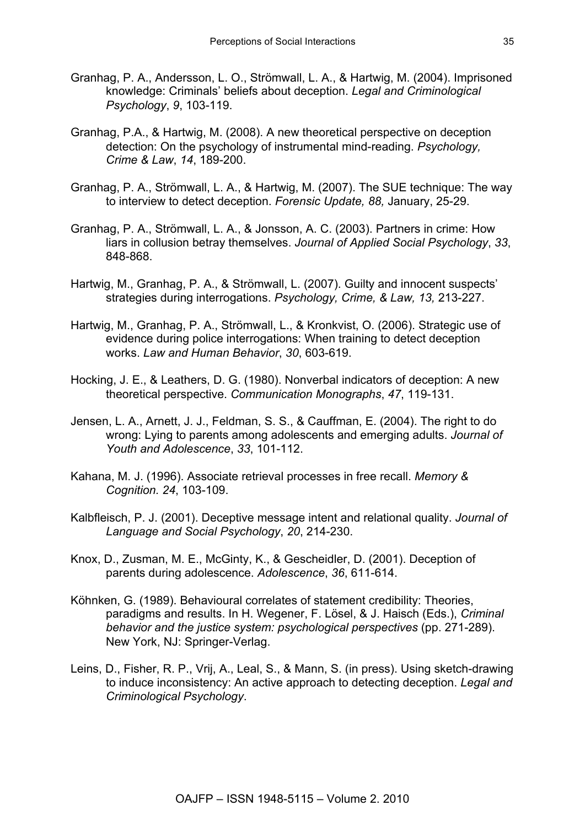- Granhag, P. A., Andersson, L. O., Strömwall, L. A., & Hartwig, M. (2004). Imprisoned knowledge: Criminals' beliefs about deception. *Legal and Criminological Psychology*, *9*, 103-119.
- Granhag, P.A., & Hartwig, M. (2008). A new theoretical perspective on deception detection: On the psychology of instrumental mind-reading. *Psychology, Crime & Law*, *14*, 189-200.
- Granhag, P. A., Strömwall, L. A., & Hartwig, M. (2007). The SUE technique: The way to interview to detect deception. *Forensic Update, 88,* January, 25-29.
- Granhag, P. A., Strömwall, L. A., & Jonsson, A. C. (2003). Partners in crime: How liars in collusion betray themselves. *Journal of Applied Social Psychology*, *33*, 848-868.
- Hartwig, M., Granhag, P. A., & Strömwall, L. (2007). Guilty and innocent suspects' strategies during interrogations. *Psychology, Crime, & Law, 13,* 213-227.
- Hartwig, M., Granhag, P. A., Strömwall, L., & Kronkvist, O. (2006). Strategic use of evidence during police interrogations: When training to detect deception works. *Law and Human Behavior*, *30*, 603-619.
- Hocking, J. E., & Leathers, D. G. (1980). Nonverbal indicators of deception: A new theoretical perspective. *Communication Monographs*, *47*, 119-131.
- Jensen, L. A., Arnett, J. J., Feldman, S. S., & Cauffman, E. (2004). The right to do wrong: Lying to parents among adolescents and emerging adults. *Journal of Youth and Adolescence*, *33*, 101-112.
- Kahana, M. J. (1996). Associate retrieval processes in free recall. *Memory & Cognition. 24*, 103-109.
- Kalbfleisch, P. J. (2001). Deceptive message intent and relational quality. *Journal of Language and Social Psychology*, *20*, 214-230.
- Knox, D., Zusman, M. E., McGinty, K., & Gescheidler, D. (2001). Deception of parents during adolescence. *Adolescence*, *36*, 611-614.
- Köhnken, G. (1989). Behavioural correlates of statement credibility: Theories, paradigms and results. In H. Wegener, F. Lösel, & J. Haisch (Eds.), *Criminal behavior and the justice system: psychological perspectives* (pp. 271-289). New York, NJ: Springer-Verlag.
- Leins, D., Fisher, R. P., Vrij, A., Leal, S., & Mann, S. (in press). Using sketch-drawing to induce inconsistency: An active approach to detecting deception. *Legal and Criminological Psychology*.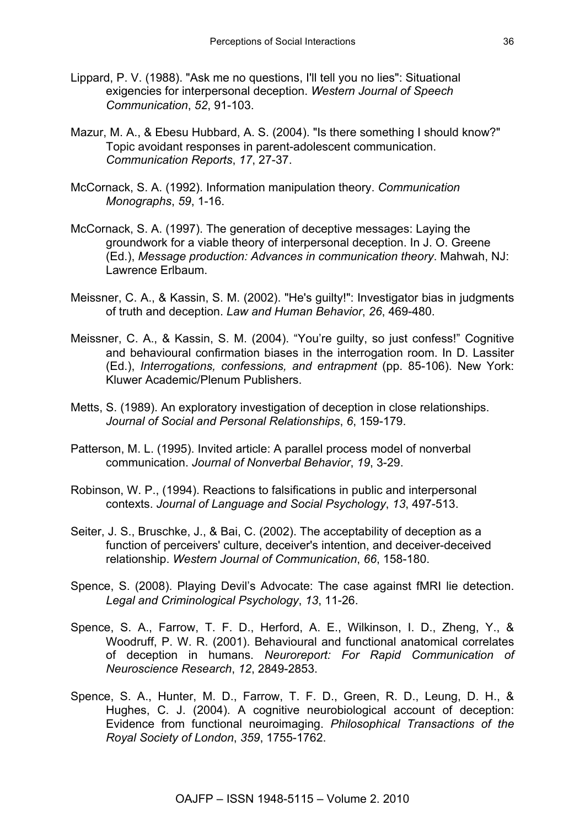- Lippard, P. V. (1988). "Ask me no questions, I'll tell you no lies": Situational exigencies for interpersonal deception. *Western Journal of Speech Communication*, *52*, 91-103.
- Mazur, M. A., & Ebesu Hubbard, A. S. (2004). "Is there something I should know?" Topic avoidant responses in parent-adolescent communication. *Communication Reports*, *17*, 27-37.
- McCornack, S. A. (1992). Information manipulation theory. *Communication Monographs*, *59*, 1-16.
- McCornack, S. A. (1997). The generation of deceptive messages: Laying the groundwork for a viable theory of interpersonal deception. In J. O. Greene (Ed.), *Message production: Advances in communication theory*. Mahwah, NJ: Lawrence Erlbaum.
- Meissner, C. A., & Kassin, S. M. (2002). "He's guilty!": Investigator bias in judgments of truth and deception. *Law and Human Behavior*, *26*, 469-480.
- Meissner, C. A., & Kassin, S. M. (2004). "You're guilty, so just confess!" Cognitive and behavioural confirmation biases in the interrogation room. In D. Lassiter (Ed.), *Interrogations, confessions, and entrapment* (pp. 85-106). New York: Kluwer Academic/Plenum Publishers.
- Metts, S. (1989). An exploratory investigation of deception in close relationships. *Journal of Social and Personal Relationships*, *6*, 159-179.
- Patterson, M. L. (1995). Invited article: A parallel process model of nonverbal communication. *Journal of Nonverbal Behavior*, *19*, 3-29.
- Robinson, W. P., (1994). Reactions to falsifications in public and interpersonal contexts. *Journal of Language and Social Psychology*, *13*, 497-513.
- Seiter, J. S., Bruschke, J., & Bai, C. (2002). The acceptability of deception as a function of perceivers' culture, deceiver's intention, and deceiver-deceived relationship. *Western Journal of Communication*, *66*, 158-180.
- Spence, S. (2008). Playing Devil's Advocate: The case against fMRI lie detection. *Legal and Criminological Psychology*, *13*, 11-26.
- Spence, S. A., Farrow, T. F. D., Herford, A. E., Wilkinson, I. D., Zheng, Y., & Woodruff, P. W. R. (2001). Behavioural and functional anatomical correlates of deception in humans. *Neuroreport: For Rapid Communication of Neuroscience Research*, *12*, 2849-2853.
- Spence, S. A., Hunter, M. D., Farrow, T. F. D., Green, R. D., Leung, D. H., & Hughes, C. J. (2004). A cognitive neurobiological account of deception: Evidence from functional neuroimaging. *Philosophical Transactions of the Royal Society of London*, *359*, 1755-1762.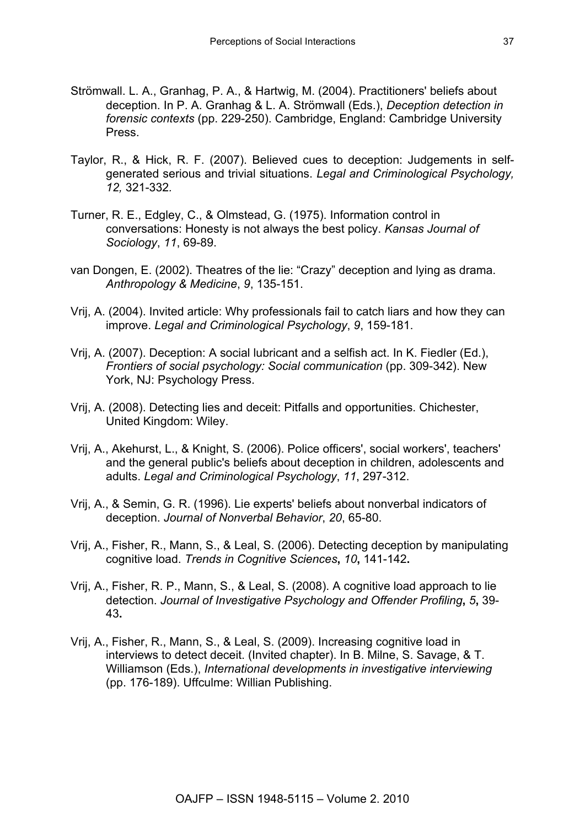- Strömwall. L. A., Granhag, P. A., & Hartwig, M. (2004). Practitioners' beliefs about deception. In P. A. Granhag & L. A. Strömwall (Eds.), *Deception detection in forensic contexts* (pp. 229-250). Cambridge, England: Cambridge University Press.
- Taylor, R., & Hick, R. F. (2007). Believed cues to deception: Judgements in selfgenerated serious and trivial situations. *Legal and Criminological Psychology, 12,* 321-332*.*
- Turner, R. E., Edgley, C., & Olmstead, G. (1975). Information control in conversations: Honesty is not always the best policy. *Kansas Journal of Sociology*, *11*, 69-89.
- van Dongen, E. (2002). Theatres of the lie: "Crazy" deception and lying as drama. *Anthropology & Medicine*, *9*, 135-151.
- Vrij, A. (2004). Invited article: Why professionals fail to catch liars and how they can improve. *Legal and Criminological Psychology*, *9*, 159-181.
- Vrij, A. (2007). Deception: A social lubricant and a selfish act. In K. Fiedler (Ed.), *Frontiers of social psychology: Social communication* (pp. 309-342). New York, NJ: Psychology Press.
- Vrij, A. (2008). Detecting lies and deceit: Pitfalls and opportunities. Chichester, United Kingdom: Wiley.
- Vrij, A., Akehurst, L., & Knight, S. (2006). Police officers', social workers', teachers' and the general public's beliefs about deception in children, adolescents and adults. *Legal and Criminological Psychology*, *11*, 297-312.
- Vrij, A., & Semin, G. R. (1996). Lie experts' beliefs about nonverbal indicators of deception. *Journal of Nonverbal Behavior*, *20*, 65-80.
- Vrij, A., Fisher, R., Mann, S., & Leal, S. (2006). Detecting deception by manipulating cognitive load. *Trends in Cognitive Sciences***,** *10***,** 141-142**.**
- Vrij, A., Fisher, R. P., Mann, S., & Leal, S. (2008). A cognitive load approach to lie detection. *Journal of Investigative Psychology and Offender Profiling***,** *5***,** 39- 43**.**
- Vrij, A., Fisher, R., Mann, S., & Leal, S. (2009). Increasing cognitive load in interviews to detect deceit. (Invited chapter). In B. Milne, S. Savage, & T. Williamson (Eds.), *International developments in investigative interviewing*  (pp. 176-189). Uffculme: Willian Publishing.